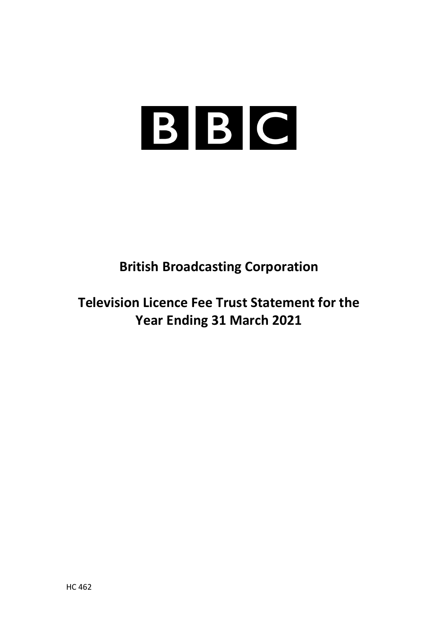# BBC

**British Broadcasting Corporation**

**Television Licence Fee Trust Statement for the Year Ending 31 March 2021**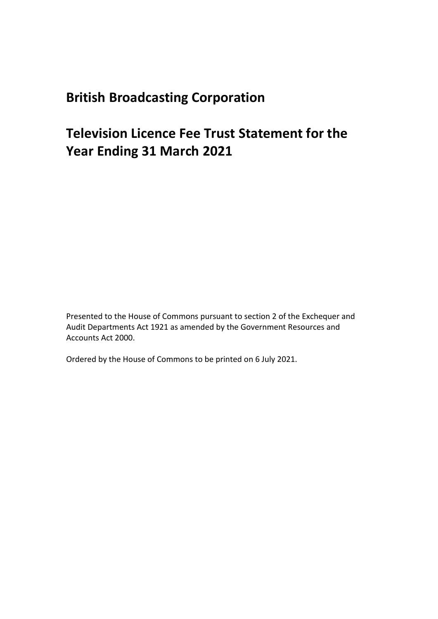## **British Broadcasting Corporation**

# **Television Licence Fee Trust Statement for the Year Ending 31 March 2021**

Presented to the House of Commons pursuant to section 2 of the Exchequer and Audit Departments Act 1921 as amended by the Government Resources and Accounts Act 2000.

Ordered by the House of Commons to be printed on 6 July 2021.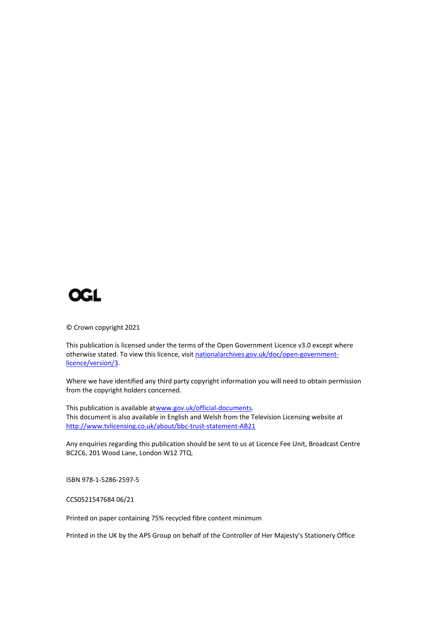

© Crown copyright 2021

This publication is licensed under the terms of the Open Government Licence v3.0 except where otherwise stated. To view this licence, visi[t nationalarchives.gov.uk/doc/open-government](http://www.nationalarchives.gov.uk/doc/open-government-licence/version/3)[licence/version/3.](http://www.nationalarchives.gov.uk/doc/open-government-licence/version/3)

Where we have identified any third party copyright information you will need to obtain permission from the copyright holders concerned.

This publication is available a[twww.gov.uk/official-documents.](http://www.gov.uk/official-documents) This document is also available in English and Welsh from the Television Licensing website at <http://www.tvlicensing.co.uk/about/bbc-trust-statement-AB21>

Any enquiries regarding this publication should be sent to us at Licence Fee Unit, Broadcast Centre BC2C6, 201 Wood Lane, London W12 7TQ.

ISBN 978-1-5286-2597-5

CCS0521547684 06/21

Printed on paper containing 75% recycled fibre content minimum

Printed in the UK by the APS Group on behalf of the Controller of Her Majesty's Stationery Office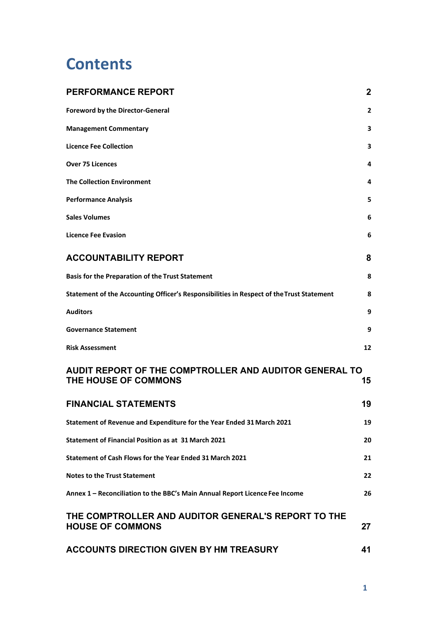# **Contents**

| <b>PERFORMANCE REPORT</b>                                                                | $\mathbf{2}$ |
|------------------------------------------------------------------------------------------|--------------|
| <b>Foreword by the Director-General</b>                                                  | $\mathbf{2}$ |
| <b>Management Commentary</b>                                                             | 3            |
| <b>Licence Fee Collection</b>                                                            | 3            |
| <b>Over 75 Licences</b>                                                                  | 4            |
| <b>The Collection Environment</b>                                                        | 4            |
| <b>Performance Analysis</b>                                                              | 5            |
| <b>Sales Volumes</b>                                                                     | 6            |
| <b>Licence Fee Evasion</b>                                                               | 6            |
| <b>ACCOUNTABILITY REPORT</b>                                                             | 8            |
| <b>Basis for the Preparation of the Trust Statement</b>                                  | 8            |
| Statement of the Accounting Officer's Responsibilities in Respect of the Trust Statement | 8            |
| <b>Auditors</b>                                                                          | 9            |
| <b>Governance Statement</b>                                                              | 9            |
| <b>Risk Assessment</b>                                                                   | 12           |
| AUDIT REPORT OF THE COMPTROLLER AND AUDITOR GENERAL TO<br><b>THE HOUSE OF COMMONS</b>    | 15           |
| <b>FINANCIAL STATEMENTS</b>                                                              | 19           |
| Statement of Revenue and Expenditure for the Year Ended 31 March 2021                    | 19           |
| Statement of Financial Position as at 31 March 2021                                      | 20           |
| Statement of Cash Flows for the Year Ended 31 March 2021                                 | 21           |
| <b>Notes to the Trust Statement</b>                                                      | 22           |
| Annex 1 - Reconciliation to the BBC's Main Annual Report Licence Fee Income              | 26           |
| THE COMPTROLLER AND AUDITOR GENERAL'S REPORT TO THE<br><b>HOUSE OF COMMONS</b>           | 27           |
| <b>ACCOUNTS DIRECTION GIVEN BY HM TREASURY</b>                                           | 41           |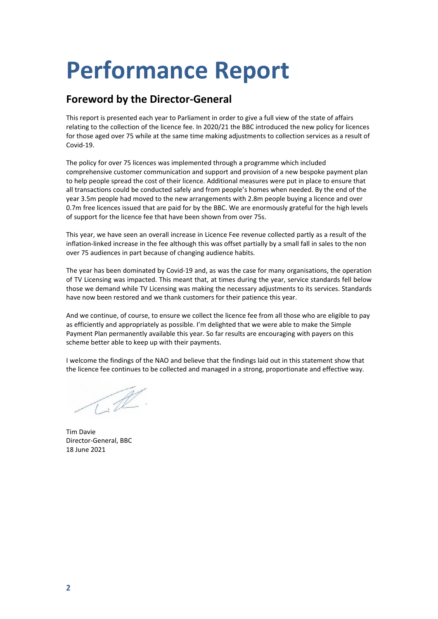# <span id="page-4-0"></span>**Performance Report**

#### <span id="page-4-1"></span>**Foreword by the Director-General**

This report is presented each year to Parliament in order to give a full view of the state of affairs relating to the collection of the licence fee. In 2020/21 the BBC introduced the new policy for licences for those aged over 75 while at the same time making adjustments to collection services as a result of Covid-19.

The policy for over 75 licences was implemented through a programme which included comprehensive customer communication and support and provision of a new bespoke payment plan to help people spread the cost of their licence. Additional measures were put in place to ensure that all transactions could be conducted safely and from people's homes when needed. By the end of the year 3.5m people had moved to the new arrangements with 2.8m people buying a licence and over 0.7m free licences issued that are paid for by the BBC. We are enormously grateful for the high levels of support for the licence fee that have been shown from over 75s.

This year, we have seen an overall increase in Licence Fee revenue collected partly as a result of the inflation-linked increase in the fee although this was offset partially by a small fall in sales to the non over 75 audiences in part because of changing audience habits.

The year has been dominated by Covid-19 and, as was the case for many organisations, the operation of TV Licensing was impacted. This meant that, at times during the year, service standards fell below those we demand while TV Licensing was making the necessary adjustments to its services. Standards have now been restored and we thank customers for their patience this year.

And we continue, of course, to ensure we collect the licence fee from all those who are eligible to pay as efficiently and appropriately as possible. I'm delighted that we were able to make the Simple Payment Plan permanently available this year. So far results are encouraging with payers on this scheme better able to keep up with their payments.

I welcome the findings of the NAO and believe that the findings laid out in this statement show that the licence fee continues to be collected and managed in a strong, proportionate and effective way.

 $\mathbb{Z}$ 

Tim Davie Director-General, BBC 18 June 2021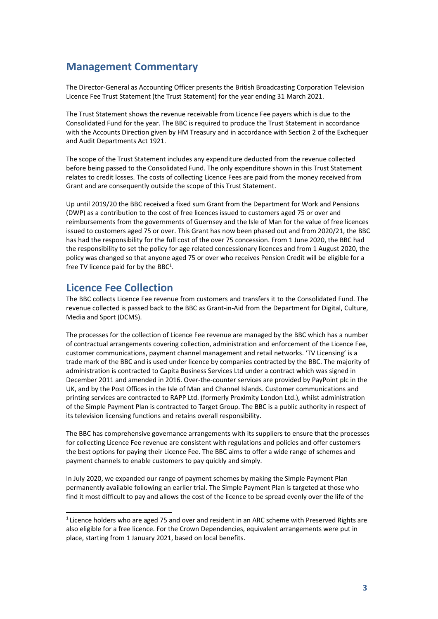#### <span id="page-5-0"></span>**Management Commentary**

The Director-General as Accounting Officer presents the British Broadcasting Corporation Television Licence Fee Trust Statement (the Trust Statement) for the year ending 31 March 2021.

The Trust Statement shows the revenue receivable from Licence Fee payers which is due to the Consolidated Fund for the year. The BBC is required to produce the Trust Statement in accordance with the Accounts Direction given by HM Treasury and in accordance with Section 2 of the Exchequer and Audit Departments Act 1921.

The scope of the Trust Statement includes any expenditure deducted from the revenue collected before being passed to the Consolidated Fund. The only expenditure shown in this Trust Statement relates to credit losses. The costs of collecting Licence Fees are paid from the money received from Grant and are consequently outside the scope of this Trust Statement.

Up until 2019/20 the BBC received a fixed sum Grant from the Department for Work and Pensions (DWP) as a contribution to the cost of free licences issued to customers aged 75 or over and reimbursements from the governments of Guernsey and the Isle of Man for the value of free licences issued to customers aged 75 or over. This Grant has now been phased out and from 2020/21, the BBC has had the responsibility for the full cost of the over 75 concession. From 1 June 2020, the BBC had the responsibility to set the policy for age related concessionary licences and from 1 August 2020, the policy was changed so that anyone aged 75 or over who receives Pension Credit will be eligible for a free TV licence paid for by the BBC<sup>1</sup>.

#### <span id="page-5-1"></span>**Licence Fee Collection**

The BBC collects Licence Fee revenue from customers and transfers it to the Consolidated Fund. The revenue collected is passed back to the BBC as Grant-in-Aid from the Department for Digital, Culture, Media and Sport (DCMS).

The processes for the collection of Licence Fee revenue are managed by the BBC which has a number of contractual arrangements covering collection, administration and enforcement of the Licence Fee, customer communications, payment channel management and retail networks. 'TV Licensing' is a trade mark of the BBC and is used under licence by companies contracted by the BBC. The majority of administration is contracted to Capita Business Services Ltd under a contract which was signed in December 2011 and amended in 2016. Over-the-counter services are provided by PayPoint plc in the UK, and by the Post Offices in the Isle of Man and Channel Islands. Customer communications and printing services are contracted to RAPP Ltd. (formerly Proximity London Ltd.), whilst administration of the Simple Payment Plan is contracted to Target Group. The BBC is a public authority in respect of its television licensing functions and retains overall responsibility.

The BBC has comprehensive governance arrangements with its suppliers to ensure that the processes for collecting Licence Fee revenue are consistent with regulations and policies and offer customers the best options for paying their Licence Fee. The BBC aims to offer a wide range of schemes and payment channels to enable customers to pay quickly and simply.

In July 2020, we expanded our range of payment schemes by making the Simple Payment Plan permanently available following an earlier trial. The Simple Payment Plan is targeted at those who find it most difficult to pay and allows the cost of the licence to be spread evenly over the life of the

<span id="page-5-2"></span> $1$  Licence holders who are aged 75 and over and resident in an ARC scheme with Preserved Rights are also eligible for a free licence. For the Crown Dependencies, equivalent arrangements were put in place, starting from 1 January 2021, based on local benefits.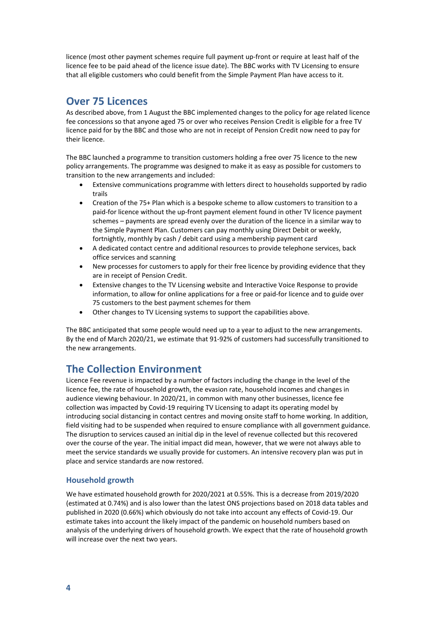licence (most other payment schemes require full payment up-front or require at least half of the licence fee to be paid ahead of the licence issue date). The BBC works with TV Licensing to ensure that all eligible customers who could benefit from the Simple Payment Plan have access to it.

#### <span id="page-6-0"></span>**Over 75 Licences**

As described above, from 1 August the BBC implemented changes to the policy for age related licence fee concessions so that anyone aged 75 or over who receives Pension Credit is eligible for a free TV licence paid for by the BBC and those who are not in receipt of Pension Credit now need to pay for their licence.

The BBC launched a programme to transition customers holding a free over 75 licence to the new policy arrangements. The programme was designed to make it as easy as possible for customers to transition to the new arrangements and included:

- Extensive communications programme with letters direct to households supported by radio trails
- Creation of the 75+ Plan which is a bespoke scheme to allow customers to transition to a paid-for licence without the up-front payment element found in other TV licence payment schemes – payments are spread evenly over the duration of the licence in a similar way to the Simple Payment Plan. Customers can pay monthly using Direct Debit or weekly, fortnightly, monthly by cash / debit card using a membership payment card
- A dedicated contact centre and additional resources to provide telephone services, back office services and scanning
- New processes for customers to apply for their free licence by providing evidence that they are in receipt of Pension Credit.
- Extensive changes to the TV Licensing website and Interactive Voice Response to provide information, to allow for online applications for a free or paid-for licence and to guide over 75 customers to the best payment schemes for them
- Other changes to TV Licensing systems to support the capabilities above.

The BBC anticipated that some people would need up to a year to adjust to the new arrangements. By the end of March 2020/21, we estimate that 91-92% of customers had successfully transitioned to the new arrangements.

#### <span id="page-6-1"></span>**The Collection Environment**

Licence Fee revenue is impacted by a number of factors including the change in the level of the licence fee, the rate of household growth, the evasion rate, household incomes and changes in audience viewing behaviour. In 2020/21, in common with many other businesses, licence fee collection was impacted by Covid-19 requiring TV Licensing to adapt its operating model by introducing social distancing in contact centres and moving onsite staff to home working. In addition, field visiting had to be suspended when required to ensure compliance with all government guidance. The disruption to services caused an initial dip in the level of revenue collected but this recovered over the course of the year. The initial impact did mean, however, that we were not always able to meet the service standards we usually provide for customers. An intensive recovery plan was put in place and service standards are now restored.

#### **Household growth**

We have estimated household growth for 2020/2021 at 0.55%. This is a decrease from 2019/2020 (estimated at 0.74%) and is also lower than the latest ONS projections based on 2018 data tables and published in 2020 (0.66%) which obviously do not take into account any effects of Covid-19. Our estimate takes into account the likely impact of the pandemic on household numbers based on analysis of the underlying drivers of household growth. We expect that the rate of household growth will increase over the next two years.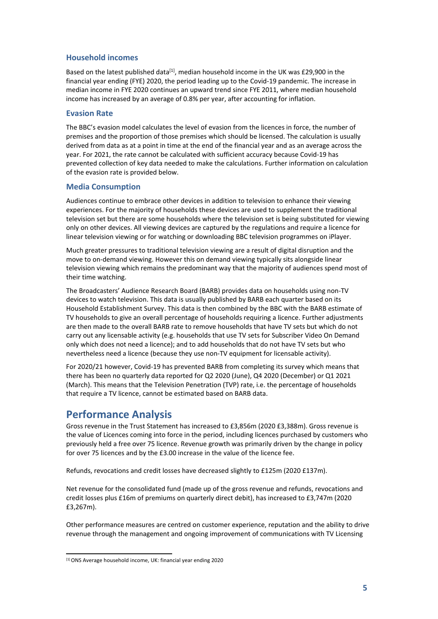#### **Household incomes**

Based on the latest published data<sup>[1]</sup>, median household income in the UK was £29,900 in the financial year ending (FYE) 2020, the period leading up to the Covid-19 pandemic. The increase in median income in FYE 2020 continues an upward trend since FYE 2011, where median household income has increased by an average of 0.8% per year, after accounting for inflation.

#### **Evasion Rate**

The BBC's evasion model calculates the level of evasion from the licences in force, the number of premises and the proportion of those premises which should be licensed. The calculation is usually derived from data as at a point in time at the end of the financial year and as an average across the year. For 2021, the rate cannot be calculated with sufficient accuracy because Covid-19 has prevented collection of key data needed to make the calculations. Further information on calculation of the evasion rate is provided below.

#### **Media Consumption**

Audiences continue to embrace other devices in addition to television to enhance their viewing experiences. For the majority of households these devices are used to supplement the traditional television set but there are some households where the television set is being substituted for viewing only on other devices. All viewing devices are captured by the regulations and require a licence for linear television viewing or for watching or downloading BBC television programmes on iPlayer.

Much greater pressures to traditional television viewing are a result of digital disruption and the move to on-demand viewing. However this on demand viewing typically sits alongside linear television viewing which remains the predominant way that the majority of audiences spend most of their time watching.

The Broadcasters' Audience Research Board (BARB) provides data on households using non-TV devices to watch television. This data is usually published by BARB each quarter based on its Household Establishment Survey. This data is then combined by the BBC with the BARB estimate of TV households to give an overall percentage of households requiring a licence. Further adjustments are then made to the overall BARB rate to remove households that have TV sets but which do not carry out any licensable activity (e.g. households that use TV sets for Subscriber Video On Demand only which does not need a licence); and to add households that do not have TV sets but who nevertheless need a licence (because they use non-TV equipment for licensable activity).

For 2020/21 however, Covid-19 has prevented BARB from completing its survey which means that there has been no quarterly data reported for Q2 2020 (June), Q4 2020 (December) or Q1 2021 (March). This means that the Television Penetration (TVP) rate, i.e. the percentage of households that require a TV licence, cannot be estimated based on BARB data.

#### <span id="page-7-0"></span>**Performance Analysis**

Gross revenue in the Trust Statement has increased to £3,856m (2020 £3,388m). Gross revenue is the value of Licences coming into force in the period, including licences purchased by customers who previously held a free over 75 licence. Revenue growth was primarily driven by the change in policy for over 75 licences and by the £3.00 increase in the value of the licence fee.

Refunds, revocations and credit losses have decreased slightly to £125m (2020 £137m).

Net revenue for the consolidated fund (made up of the gross revenue and refunds, revocations and credit losses plus £16m of premiums on quarterly direct debit), has increased to £3,747m (2020 £3,267m).

Other performance measures are centred on customer experience, reputation and the ability to drive revenue through the management and ongoing improvement of communications with TV Licensing

<span id="page-7-1"></span><sup>[1]</sup> ONS Average household income, UK: financial year ending 2020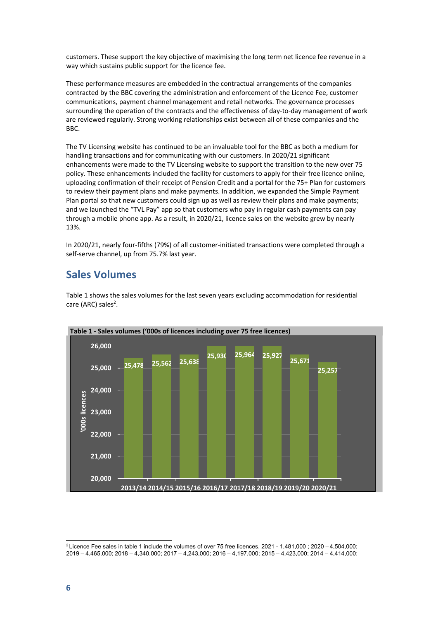customers. These support the key objective of maximising the long term net licence fee revenue in a way which sustains public support for the licence fee.

These performance measures are embedded in the contractual arrangements of the companies contracted by the BBC covering the administration and enforcement of the Licence Fee, customer communications, payment channel management and retail networks. The governance processes surrounding the operation of the contracts and the effectiveness of day-to-day management of work are reviewed regularly. Strong working relationships exist between all of these companies and the BBC.

The TV Licensing website has continued to be an invaluable tool for the BBC as both a medium for handling transactions and for communicating with our customers. In 2020/21 significant enhancements were made to the TV Licensing website to support the transition to the new over 75 policy. These enhancements included the facility for customers to apply for their free licence online, uploading confirmation of their receipt of Pension Credit and a portal for the 75+ Plan for customers to review their payment plans and make payments. In addition, we expanded the Simple Payment Plan portal so that new customers could sign up as well as review their plans and make payments; and we launched the "TVL Pay" app so that customers who pay in regular cash payments can pay through a mobile phone app. As a result, in 2020/21, licence sales on the website grew by nearly 13%.

In 2020/21, nearly four-fifths (79%) of all customer-initiated transactions were completed through a self-serve channel, up from 75.7% last year.

#### <span id="page-8-0"></span>**Sales Volumes**



Table 1 shows the sales volumes for the last seven years excluding accommodation for residential care (ARC) sales<sup>2</sup>.

<span id="page-8-2"></span><span id="page-8-1"></span><sup>&</sup>lt;sup>2</sup> Licence Fee sales in table 1 include the volumes of over 75 free licences. 2021 - 1,481,000; 2020 - 4,504,000; 2019 – 4,465,000; 2018 – 4,340,000; 2017 – 4,243,000; 2016 – 4,197,000; 2015 – 4,423,000; 2014 – 4,414,000;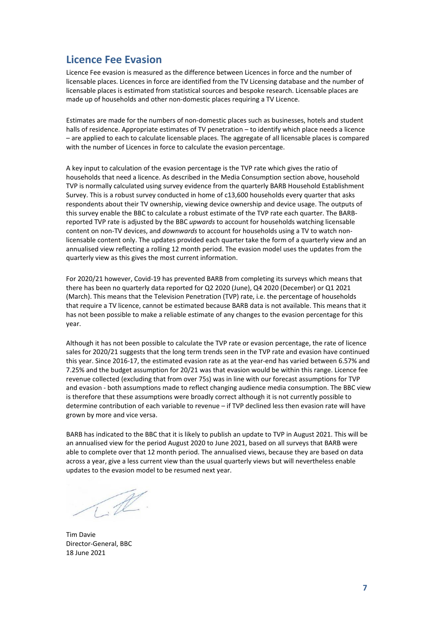#### **Licence Fee Evasion**

Licence Fee evasion is measured as the difference between Licences in force and the number of licensable places. Licences in force are identified from the TV Licensing database and the number of licensable places is estimated from statistical sources and bespoke research. Licensable places are made up of households and other non-domestic places requiring a TV Licence.

Estimates are made for the numbers of non-domestic places such as businesses, hotels and student halls of residence. Appropriate estimates of TV penetration - to identify which place needs a licence – are applied to each to calculate licensable places. The aggregate of all licensable places is compared with the number of Licences in force to calculate the evasion percentage.

A key input to calculation of the evasion percentage is the TVP rate which gives the ratio of households that need a licence. As described in the Media Consumption section above, household TVP is normally calculated using survey evidence from the quarterly BARB Household Establishment Survey. This is a robust survey conducted in home of c13,600 households every quarter that asks respondents about their TV ownership, viewing device ownership and device usage. The outputs of this survey enable the BBC to calculate a robust estimate of the TVP rate each quarter. The BARBreported TVP rate is adjusted by the BBC *upwards* to account for households watching licensable content on non-TV devices, and *downwards* to account for households using a TV to watch nonlicensable content only. The updates provided each quarter take the form of a quarterly view and an annualised view reflecting a rolling 12 month period. The evasion model uses the updates from the quarterly view as this gives the most current information.

For 2020/21 however, Covid-19 has prevented BARB from completing its surveys which means that there has been no quarterly data reported for Q2 2020 (June), Q4 2020 (December) or Q1 2021 (March). This means that the Television Penetration (TVP) rate, i.e. the percentage of households that require a TV licence, cannot be estimated because BARB data is not available. This means that it has not been possible to make a reliable estimate of any changes to the evasion percentage for this year.

Although it has not been possible to calculate the TVP rate or evasion percentage, the rate of licence sales for 2020/21 suggests that the long term trends seen in the TVP rate and evasion have continued this year. Since 2016-17, the estimated evasion rate as at the year-end has varied between 6.57% and 7.25% and the budget assumption for 20/21 was that evasion would be within this range. Licence fee revenue collected (excluding that from over 75s) was in line with our forecast assumptions for TVP and evasion - both assumptions made to reflect changing audience media consumption. The BBC view is therefore that these assumptions were broadly correct although it is not currently possible to determine contribution of each variable to revenue – if TVP declined less then evasion rate will have grown by more and vice versa.

BARB has indicated to the BBC that it is likely to publish an update to TVP in August 2021. This will be an annualised view for the period August 2020 to June 2021, based on all surveys that BARB were able to complete over that 12 month period. The annualised views, because they are based on data across a year, give a less current view than the usual quarterly views but will nevertheless enable updates to the evasion model to be resumed next year.

 $\mathbb{Z}$ 

Tim Davie Director-General, BBC 18 June 2021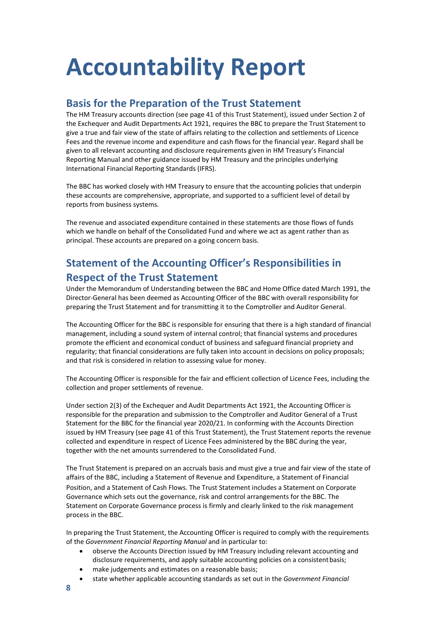# <span id="page-10-0"></span>**Accountability Report**

#### <span id="page-10-1"></span>**Basis for the Preparation of the Trust Statement**

The HM Treasury accounts direction (see page 41 of this Trust Statement), issued under Section 2 of the Exchequer and Audit Departments Act 1921, requires the BBC to prepare the Trust Statement to give a true and fair view of the state of affairs relating to the collection and settlements of Licence Fees and the revenue income and expenditure and cash flows for the financial year. Regard shall be given to all relevant accounting and disclosure requirements given in HM Treasury's Financial Reporting Manual and other guidance issued by HM Treasury and the principles underlying International Financial Reporting Standards (IFRS).

The BBC has worked closely with HM Treasury to ensure that the accounting policies that underpin these accounts are comprehensive, appropriate, and supported to a sufficient level of detail by reports from business systems.

The revenue and associated expenditure contained in these statements are those flows of funds which we handle on behalf of the Consolidated Fund and where we act as agent rather than as principal. These accounts are prepared on a going concern basis.

#### <span id="page-10-2"></span>**Statement of the Accounting Officer's Responsibilities in Respect of the Trust Statement**

Under the Memorandum of Understanding between the BBC and Home Office dated March 1991, the Director-General has been deemed as Accounting Officer of the BBC with overall responsibility for preparing the Trust Statement and for transmitting it to the Comptroller and Auditor General.

The Accounting Officer for the BBC is responsible for ensuring that there is a high standard of financial management, including a sound system of internal control; that financial systems and procedures promote the efficient and economical conduct of business and safeguard financial propriety and regularity; that financial considerations are fully taken into account in decisions on policy proposals; and that risk is considered in relation to assessing value for money.

The Accounting Officer is responsible for the fair and efficient collection of Licence Fees, including the collection and proper settlements of revenue.

Under section 2(3) of the Exchequer and Audit Departments Act 1921, the Accounting Officer is responsible for the preparation and submission to the Comptroller and Auditor General of a Trust Statement for the BBC for the financial year 2020/21. In conforming with the Accounts Direction issued by HM Treasury (see page 41 of this Trust Statement), the Trust Statement reports the revenue collected and expenditure in respect of Licence Fees administered by the BBC during the year, together with the net amounts surrendered to the Consolidated Fund.

The Trust Statement is prepared on an accruals basis and must give a true and fair view of the state of affairs of the BBC, including a Statement of Revenue and Expenditure, a Statement of Financial Position, and a Statement of Cash Flows. The Trust Statement includes a Statement on Corporate Governance which sets out the governance, risk and control arrangements for the BBC. The Statement on Corporate Governance process is firmly and clearly linked to the risk management process in the BBC.

In preparing the Trust Statement, the Accounting Officer is required to comply with the requirements of the *Government Financial Reporting Manual* and in particular to:

- observe the Accounts Direction issued by HM Treasury including relevant accounting and disclosure requirements, and apply suitable accounting policies on a consistentbasis;
- make judgements and estimates on a reasonable basis;
- state whether applicable accounting standards as set out in the *Government Financial*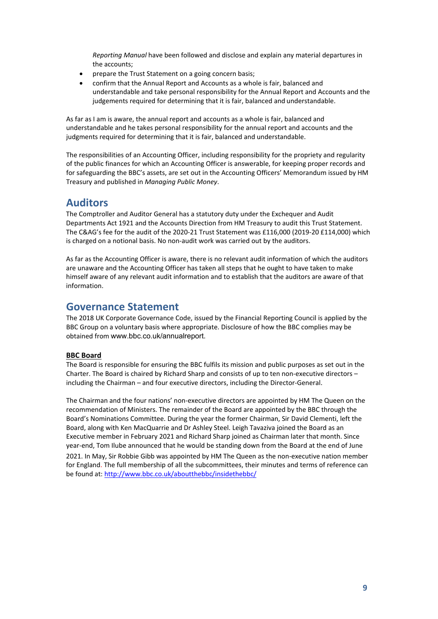*Reporting Manual* have been followed and disclose and explain any material departures in the accounts;

- prepare the Trust Statement on a going concern basis;
- confirm that the Annual Report and Accounts as a whole is fair, balanced and understandable and take personal responsibility for the Annual Report and Accounts and the judgements required for determining that it is fair, balanced and understandable.

As far as I am is aware, the annual report and accounts as a whole is fair, balanced and understandable and he takes personal responsibility for the annual report and accounts and the judgments required for determining that it is fair, balanced and understandable.

The responsibilities of an Accounting Officer, including responsibility for the propriety and regularity of the public finances for which an Accounting Officer is answerable, for keeping proper records and for safeguarding the BBC's assets, are set out in the Accounting Officers' Memorandum issued by HM Treasury and published in *Managing Public Money*.

#### <span id="page-11-0"></span>**Auditors**

The Comptroller and Auditor General has a statutory duty under the Exchequer and Audit Departments Act 1921 and the Accounts Direction from HM Treasury to audit this Trust Statement. The C&AG's fee for the audit of the 2020-21 Trust Statement was £116,000 (2019-20 £114,000) which is charged on a notional basis. No non-audit work was carried out by the auditors.

As far as the Accounting Officer is aware, there is no relevant audit information of which the auditors are unaware and the Accounting Officer has taken all steps that he ought to have taken to make himself aware of any relevant audit information and to establish that the auditors are aware of that information.

#### <span id="page-11-1"></span>**Governance Statement**

The 2018 UK Corporate Governance Code, issued by the Financial Reporting Council is applied by the BBC Group on a voluntary basis where appropriate. Disclosure of how the BBC complies may be obtained from [www.bbc.co.uk/annualreport](http://www.bbc.co.uk/annualreport)[.](http://www.bbc.co.uk/annualreport)

#### **BBC Board**

The Board is responsible for ensuring the BBC fulfils its mission and public purposes as set out in the Charter. The Board is chaired by Richard Sharp and consists of up to ten non-executive directors – including the Chairman – and four executive directors, including the Director-General.

The Chairman and the four nations' non-executive directors are appointed by HM The Queen on the recommendation of Ministers. The remainder of the Board are appointed by the BBC through the Board's Nominations Committee. During the year the former Chairman, Sir David Clementi, left the Board, along with Ken MacQuarrie and Dr Ashley Steel. Leigh Tavaziva joined the Board as an Executive member in February 2021 and Richard Sharp joined as Chairman later that month. Since year-end, Tom Ilube announced that he would be standing down from the Board at the end of June 2021. In May, Sir Robbie Gibb was appointed by HM The Queen as the non-executive nation member for England. The full membership of all the subcommittees, their minutes and terms of reference can be found at:<http://www.bbc.co.uk/aboutthebbc/insidethebbc/>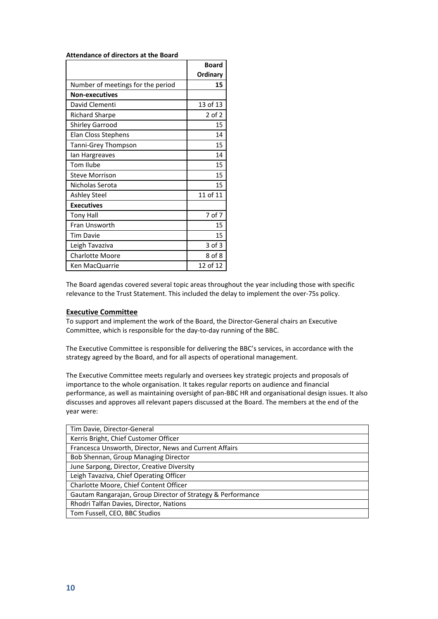**Attendance of directors at the Board**

|                                   | <b>Board</b> |
|-----------------------------------|--------------|
|                                   | Ordinary     |
| Number of meetings for the period | 15           |
| <b>Non-executives</b>             |              |
| David Clementi                    | 13 of 13     |
| Richard Sharpe                    | 2 of 2       |
| <b>Shirley Garrood</b>            | 15           |
| Elan Closs Stephens               | 14           |
| Tanni-Grey Thompson               | 15           |
| lan Hargreaves                    | 14           |
| Tom Ilube                         | 15           |
| <b>Steve Morrison</b>             | 15           |
| Nicholas Serota                   | 15           |
| <b>Ashley Steel</b>               | 11 of 11     |
| <b>Executives</b>                 |              |
| Tony Hall                         | 7 of 7       |
| Fran Unsworth                     | 15           |
| <b>Tim Davie</b>                  | 15           |
| Leigh Tavaziva                    | 3 of 3       |
| <b>Charlotte Moore</b>            | 8 of 8       |
| Ken MacQuarrie                    | 12 of 12     |

The Board agendas covered several topic areas throughout the year including those with specific relevance to the Trust Statement. This included the delay to implement the over-75s policy.

#### **Executive Committee**

To support and implement the work of the Board, the Director-General chairs an Executive Committee, which is responsible for the day-to-day running of the BBC.

The Executive Committee is responsible for delivering the BBC's services, in accordance with the strategy agreed by the Board, and for all aspects of operational management.

The Executive Committee meets regularly and oversees key strategic projects and proposals of importance to the whole organisation. It takes regular reports on audience and financial performance, as well as maintaining oversight of pan-BBC HR and organisational design issues. It also discusses and approves all relevant papers discussed at the Board. The members at the end of the year were:

| Tim Davie, Director-General                                 |
|-------------------------------------------------------------|
| Kerris Bright, Chief Customer Officer                       |
| Francesca Unsworth, Director, News and Current Affairs      |
| Bob Shennan, Group Managing Director                        |
| June Sarpong, Director, Creative Diversity                  |
| Leigh Tavaziva, Chief Operating Officer                     |
| Charlotte Moore, Chief Content Officer                      |
| Gautam Rangarajan, Group Director of Strategy & Performance |
| Rhodri Talfan Davies, Director, Nations                     |
| Tom Fussell, CEO, BBC Studios                               |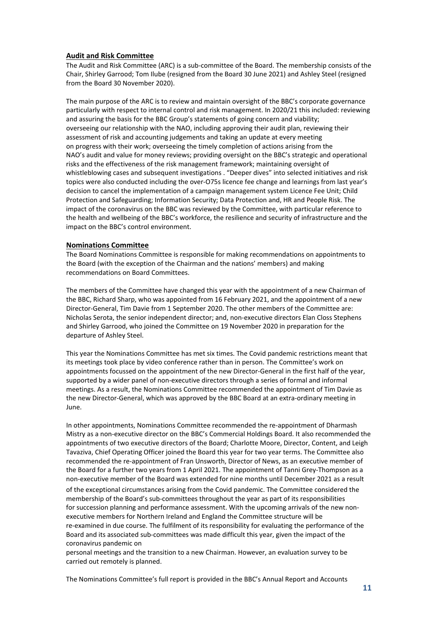#### **Audit and Risk Committee**

The Audit and Risk Committee (ARC) is a sub-committee of the Board. The membership consists of the Chair, Shirley Garrood; Tom Ilube (resigned from the Board 30 June 2021) and Ashley Steel (resigned from the Board 30 November 2020).

The main purpose of the ARC is to review and maintain oversight of the BBC's corporate governance particularly with respect to internal control and risk management. In 2020/21 this included: reviewing and assuring the basis for the BBC Group's statements of going concern and viability; overseeing our relationship with the NAO, including approving their audit plan, reviewing their assessment of risk and accounting judgements and taking an update at every meeting on progress with their work; overseeing the timely completion of actions arising from the NAO's audit and value for money reviews; providing oversight on the BBC's strategic and operational risks and the effectiveness of the risk management framework; maintaining oversight of whistleblowing cases and subsequent investigations . "Deeper dives" into selected initiatives and risk topics were also conducted including the over-O75s licence fee change and learnings from last year's decision to cancel the implementation of a campaign management system Licence Fee Unit; Child Protection and Safeguarding; Information Security; Data Protection and, HR and People Risk. The impact of the coronavirus on the BBC was reviewed by the Committee, with particular reference to the health and wellbeing of the BBC's workforce, the resilience and security of infrastructure and the impact on the BBC's control environment.

#### **Nominations Committee**

The Board Nominations Committee is responsible for making recommendations on appointments to the Board (with the exception of the Chairman and the nations' members) and making recommendations on Board Committees.

The members of the Committee have changed this year with the appointment of a new Chairman of the BBC, Richard Sharp, who was appointed from 16 February 2021, and the appointment of a new Director-General, Tim Davie from 1 September 2020. The other members of the Committee are: Nicholas Serota, the senior independent director; and, non-executive directors Elan Closs Stephens and Shirley Garrood, who joined the Committee on 19 November 2020 in preparation for the departure of Ashley Steel.

This year the Nominations Committee has met six times. The Covid pandemic restrictions meant that its meetings took place by video conference rather than in person. The Committee's work on appointments focussed on the appointment of the new Director-General in the first half of the year, supported by a wider panel of non-executive directors through a series of formal and informal meetings. As a result, the Nominations Committee recommended the appointment of Tim Davie as the new Director-General, which was approved by the BBC Board at an extra-ordinary meeting in June.

In other appointments, Nominations Committee recommended the re-appointment of Dharmash Mistry as a non-executive director on the BBC's Commercial Holdings Board. It also recommended the appointments of two executive directors of the Board; Charlotte Moore, Director, Content, and Leigh Tavaziva, Chief Operating Officer joined the Board this year for two year terms. The Committee also recommended the re-appointment of Fran Unsworth, Director of News, as an executive member of the Board for a further two years from 1 April 2021. The appointment of Tanni Grey-Thompson as a non-executive member of the Board was extended for nine months until December 2021 as a result

of the exceptional circumstances arising from the Covid pandemic. The Committee considered the membership of the Board's sub-committees throughout the year as part of its responsibilities for succession planning and performance assessment. With the upcoming arrivals of the new nonexecutive members for Northern Ireland and England the Committee structure will be re-examined in due course. The fulfilment of its responsibility for evaluating the performance of the Board and its associated sub-committees was made difficult this year, given the impact of the coronavirus pandemic on

personal meetings and the transition to a new Chairman. However, an evaluation survey to be carried out remotely is planned.

The Nominations Committee's full report is provided in the BBC's Annual Report and Accounts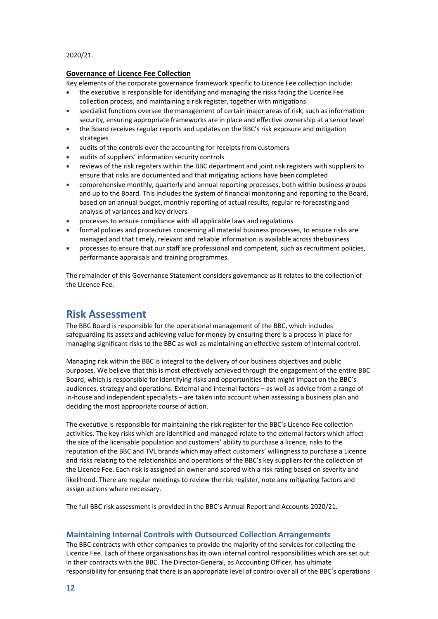#### 2020/21.

#### **Governance of Licence Fee Collection**

Key elements of the corporate governance framework specific to Licence Fee collection include:

- the executive is responsible for identifying and managing the risks facing the Licence Fee collection process, and maintaining a risk register, together with mitigations
- specialist functions oversee the management of certain major areas of risk, such as information security, ensuring appropriate frameworks are in place and effective ownership at a senior level
- the Board receives regular reports and updates on the BBC's risk exposure and mitigation strategies
- audits of the controls over the accounting for receipts from customers
- audits of suppliers' information security controls
- reviews of the risk registers within the BBC department and joint risk registers with suppliers to ensure that risks are documented and that mitigating actions have been completed
- comprehensive monthly, quarterly and annual reporting processes, both within business groups and up to the Board. This includes the system of financial monitoring and reporting to the Board, based on an annual budget, monthly reporting of actual results, regular re-forecasting and analysis of variances and key drivers
- processes to ensure compliance with all applicable laws and regulations
- formal policies and procedures concerning all material business processes, to ensure risks are managed and that timely, relevant and reliable information is available across thebusiness
- processes to ensure that our staff are professional and competent, such as recruitment policies, performance appraisals and training programmes.

The remainder of this Governance Statement considers governance as it relates to the collection of the Licence Fee.

#### <span id="page-14-0"></span>**Risk Assessment**

The BBC Board is responsible for the operational management of the BBC, which includes safeguarding its assets and achieving value for money by ensuring there is a process in place for managing significant risks to the BBC as well as maintaining an effective system of internal control.

Managing risk within the BBC is integral to the delivery of our business objectives and public purposes. We believe that this is most effectively achieved through the engagement of the entire BBC Board, which is responsible for identifying risks and opportunities that might impact on the BBC's audiences, strategy and operations. External and internal factors – as well as advice from a range of in-house and independent specialists – are taken into account when assessing a business plan and deciding the most appropriate course of action.

The executive is responsible for maintaining the risk register for the BBC's Licence Fee collection activities. The key risks which are identified and managed relate to the external factors which affect the size of the licensable population and customers' ability to purchase a licence, risks to the reputation of the BBC and TVL brands which may affect customers' willingness to purchase a Licence and risks relating to the relationships and operations of the BBC's key suppliers for the collection of the Licence Fee. Each risk is assigned an owner and scored with a risk rating based on severity and likelihood. There are regular meetings to review the risk register, note any mitigating factors and assign actions where necessary.

The full BBC risk assessment is provided in the BBC's Annual Report and Accounts 2020/21.

#### **Maintaining Internal Controls with Outsourced Collection Arrangements**

The BBC contracts with other companies to provide the majority of the services for collecting the Licence Fee. Each of these organisations has its own internal control responsibilities which are set out in their contracts with the BBC. The Director-General, as Accounting Officer, has ultimate responsibility for ensuring that there is an appropriate level of control over all of the BBC's operations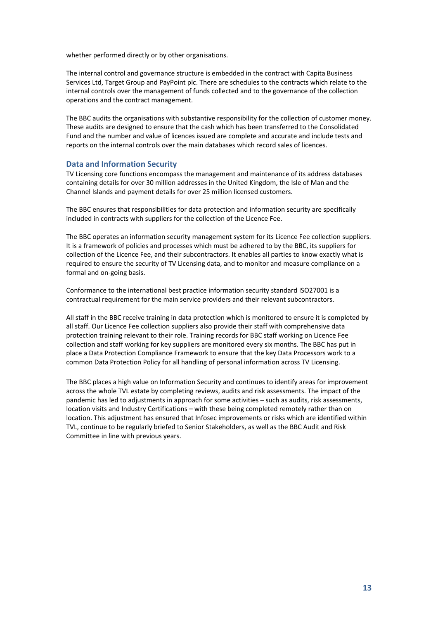whether performed directly or by other organisations.

The internal control and governance structure is embedded in the contract with Capita Business Services Ltd, Target Group and PayPoint plc. There are schedules to the contracts which relate to the internal controls over the management of funds collected and to the governance of the collection operations and the contract management.

The BBC audits the organisations with substantive responsibility for the collection of customer money. These audits are designed to ensure that the cash which has been transferred to the Consolidated Fund and the number and value of licences issued are complete and accurate and include tests and reports on the internal controls over the main databases which record sales of licences.

#### **Data and Information Security**

TV Licensing core functions encompass the management and maintenance of its address databases containing details for over 30 million addresses in the United Kingdom, the Isle of Man and the Channel Islands and payment details for over 25 million licensed customers.

The BBC ensures that responsibilities for data protection and information security are specifically included in contracts with suppliers for the collection of the Licence Fee.

The BBC operates an information security management system for its Licence Fee collection suppliers. It is a framework of policies and processes which must be adhered to by the BBC, its suppliers for collection of the Licence Fee, and their subcontractors. It enables all parties to know exactly what is required to ensure the security of TV Licensing data, and to monitor and measure compliance on a formal and on-going basis.

Conformance to the international best practice information security standard ISO27001 is a contractual requirement for the main service providers and their relevant subcontractors.

All staff in the BBC receive training in data protection which is monitored to ensure it is completed by all staff. Our Licence Fee collection suppliers also provide their staff with comprehensive data protection training relevant to their role. Training records for BBC staff working on Licence Fee collection and staff working for key suppliers are monitored every six months. The BBC has put in place a Data Protection Compliance Framework to ensure that the key Data Processors work to a common Data Protection Policy for all handling of personal information across TV Licensing.

The BBC places a high value on Information Security and continues to identify areas for improvement across the whole TVL estate by completing reviews, audits and risk assessments. The impact of the pandemic has led to adjustments in approach for some activities – such as audits, risk assessments, location visits and Industry Certifications – with these being completed remotely rather than on location. This adjustment has ensured that Infosec improvements or risks which are identified within TVL, continue to be regularly briefed to Senior Stakeholders, as well as the BBC Audit and Risk Committee in line with previous years.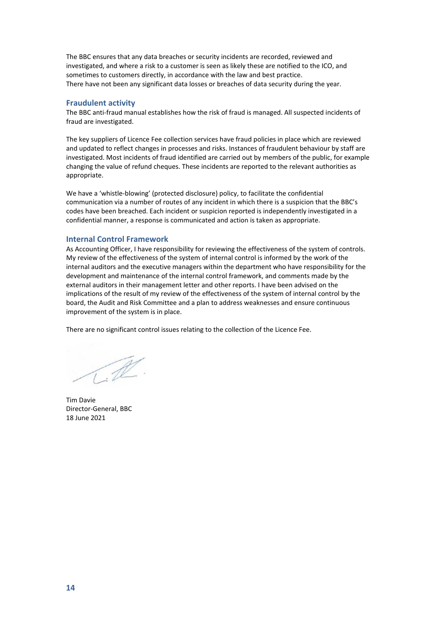The BBC ensures that any data breaches or security incidents are recorded, reviewed and investigated, and where a risk to a customer is seen as likely these are notified to the ICO, and sometimes to customers directly, in accordance with the law and best practice. There have not been any significant data losses or breaches of data security during the year.

#### **Fraudulent activity**

The BBC anti-fraud manual establishes how the risk of fraud is managed. All suspected incidents of fraud are investigated.

The key suppliers of Licence Fee collection services have fraud policies in place which are reviewed and updated to reflect changes in processes and risks. Instances of fraudulent behaviour by staff are investigated. Most incidents of fraud identified are carried out by members of the public, for example changing the value of refund cheques. These incidents are reported to the relevant authorities as appropriate.

We have a 'whistle-blowing' (protected disclosure) policy, to facilitate the confidential communication via a number of routes of any incident in which there is a suspicion that the BBC's codes have been breached. Each incident or suspicion reported is independently investigated in a confidential manner, a response is communicated and action is taken as appropriate.

#### **Internal Control Framework**

As Accounting Officer, I have responsibility for reviewing the effectiveness of the system of controls. My review of the effectiveness of the system of internal control is informed by the work of the internal auditors and the executive managers within the department who have responsibility for the development and maintenance of the internal control framework, and comments made by the external auditors in their management letter and other reports. I have been advised on the implications of the result of my review of the effectiveness of the system of internal control by the board, the Audit and Risk Committee and a plan to address weaknesses and ensure continuous improvement of the system is in place.

There are no significant control issues relating to the collection of the Licence Fee.

 $\mathscr{R}$ 

Tim Davie Director-General, BBC 18 June 2021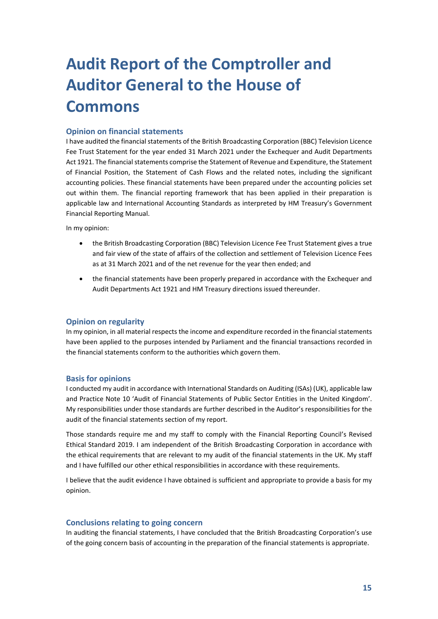# <span id="page-17-0"></span>**Audit Report of the Comptroller and Auditor General to the House of Commons**

#### **Opinion on financial statements**

I have audited the financial statements of the British Broadcasting Corporation (BBC) Television Licence Fee Trust Statement for the year ended 31 March 2021 under the Exchequer and Audit Departments Act 1921. The financial statements comprise the Statement of Revenue and Expenditure, the Statement of Financial Position, the Statement of Cash Flows and the related notes, including the significant accounting policies. These financial statements have been prepared under the accounting policies set out within them. The financial reporting framework that has been applied in their preparation is applicable law and International Accounting Standards as interpreted by HM Treasury's Government Financial Reporting Manual.

In my opinion:

- the British Broadcasting Corporation (BBC) Television Licence Fee Trust Statement gives a true and fair view of the state of affairs of the collection and settlement of Television Licence Fees as at 31 March 2021 and of the net revenue for the year then ended; and
- the financial statements have been properly prepared in accordance with the Exchequer and Audit Departments Act 1921 and HM Treasury directions issued thereunder.

#### **Opinion on regularity**

In my opinion, in all material respects the income and expenditure recorded in the financial statements have been applied to the purposes intended by Parliament and the financial transactions recorded in the financial statements conform to the authorities which govern them.

#### **Basis for opinions**

I conducted my audit in accordance with International Standards on Auditing (ISAs) (UK), applicable law and Practice Note 10 'Audit of Financial Statements of Public Sector Entities in the United Kingdom'. My responsibilities under those standards are further described in the Auditor's responsibilities for the audit of the financial statements section of my report.

Those standards require me and my staff to comply with the Financial Reporting Council's Revised Ethical Standard 2019. I am independent of the British Broadcasting Corporation in accordance with the ethical requirements that are relevant to my audit of the financial statements in the UK. My staff and I have fulfilled our other ethical responsibilities in accordance with these requirements.

I believe that the audit evidence I have obtained is sufficient and appropriate to provide a basis for my opinion.

#### **Conclusions relating to going concern**

In auditing the financial statements, I have concluded that the British Broadcasting Corporation's use of the going concern basis of accounting in the preparation of the financial statements is appropriate.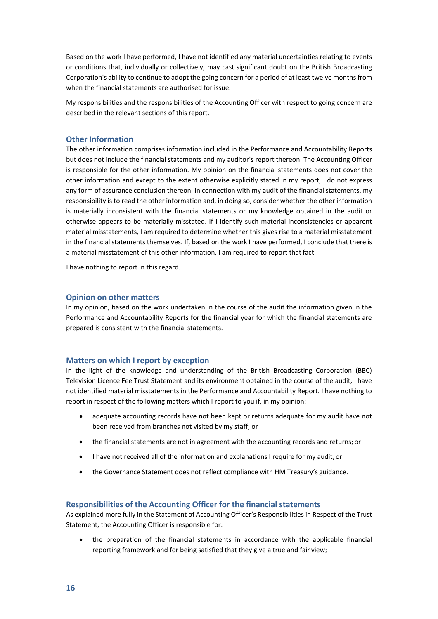Based on the work I have performed, I have not identified any material uncertainties relating to events or conditions that, individually or collectively, may cast significant doubt on the British Broadcasting Corporation's ability to continue to adopt the going concern for a period of at least twelve months from when the financial statements are authorised for issue.

My responsibilities and the responsibilities of the Accounting Officer with respect to going concern are described in the relevant sections of this report.

#### **Other Information**

The other information comprises information included in the Performance and Accountability Reports but does not include the financial statements and my auditor's report thereon. The Accounting Officer is responsible for the other information. My opinion on the financial statements does not cover the other information and except to the extent otherwise explicitly stated in my report, I do not express any form of assurance conclusion thereon. In connection with my audit of the financial statements, my responsibility is to read the other information and, in doing so, consider whether the other information is materially inconsistent with the financial statements or my knowledge obtained in the audit or otherwise appears to be materially misstated. If I identify such material inconsistencies or apparent material misstatements, I am required to determine whether this gives rise to a material misstatement in the financial statements themselves. If, based on the work I have performed, I conclude that there is a material misstatement of this other information, I am required to report that fact.

I have nothing to report in this regard.

#### **Opinion on other matters**

In my opinion, based on the work undertaken in the course of the audit the information given in the Performance and Accountability Reports for the financial year for which the financial statements are prepared is consistent with the financial statements.

#### **Matters on which I report by exception**

In the light of the knowledge and understanding of the British Broadcasting Corporation (BBC) Television Licence Fee Trust Statement and its environment obtained in the course of the audit, I have not identified material misstatements in the Performance and Accountability Report. I have nothing to report in respect of the following matters which I report to you if, in my opinion:

- adequate accounting records have not been kept or returns adequate for my audit have not been received from branches not visited by my staff; or
- the financial statements are not in agreement with the accounting records and returns; or
- I have not received all of the information and explanations I require for my audit; or
- the Governance Statement does not reflect compliance with HM Treasury's guidance.

#### **Responsibilities of the Accounting Officer for the financial statements**

As explained more fully in the Statement of Accounting Officer's Responsibilities in Respect of the Trust Statement, the Accounting Officer is responsible for:

• the preparation of the financial statements in accordance with the applicable financial reporting framework and for being satisfied that they give a true and fair view;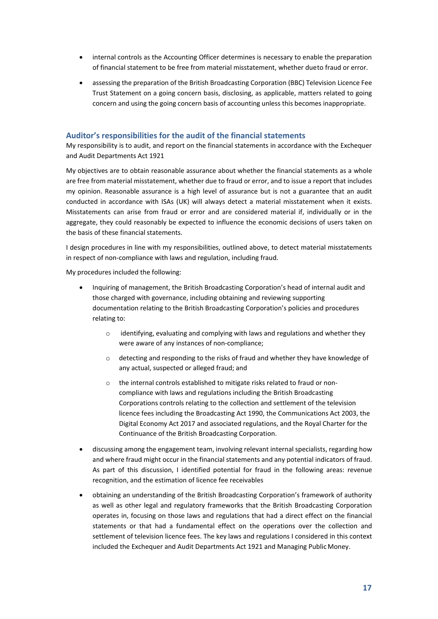- internal controls as the Accounting Officer determines is necessary to enable the preparation of financial statement to be free from material misstatement, whether dueto fraud or error.
- assessing the preparation of the British Broadcasting Corporation (BBC) Television Licence Fee Trust Statement on a going concern basis, disclosing, as applicable, matters related to going concern and using the going concern basis of accounting unless this becomes inappropriate.

#### **Auditor's responsibilities for the audit of the financial statements**

My responsibility is to audit, and report on the financial statements in accordance with the Exchequer and Audit Departments Act 1921

My objectives are to obtain reasonable assurance about whether the financial statements as a whole are free from material misstatement, whether due to fraud or error, and to issue a report that includes my opinion. Reasonable assurance is a high level of assurance but is not a guarantee that an audit conducted in accordance with ISAs (UK) will always detect a material misstatement when it exists. Misstatements can arise from fraud or error and are considered material if, individually or in the aggregate, they could reasonably be expected to influence the economic decisions of users taken on the basis of these financial statements.

I design procedures in line with my responsibilities, outlined above, to detect material misstatements in respect of non-compliance with laws and regulation, including fraud.

My procedures included the following:

- Inquiring of management, the British Broadcasting Corporation's head of internal audit and those charged with governance, including obtaining and reviewing supporting documentation relating to the British Broadcasting Corporation's policies and procedures relating to:
	- $\circ$  identifying, evaluating and complying with laws and regulations and whether they were aware of any instances of non-compliance;
	- o detecting and responding to the risks of fraud and whether they have knowledge of any actual, suspected or alleged fraud; and
	- o the internal controls established to mitigate risks related to fraud or noncompliance with laws and regulations including the British Broadcasting Corporations controls relating to the collection and settlement of the television licence fees including the Broadcasting Act 1990, the Communications Act 2003, the Digital Economy Act 2017 and associated regulations, and the Royal Charter for the Continuance of the British Broadcasting Corporation.
- discussing among the engagement team, involving relevant internal specialists, regarding how and where fraud might occur in the financial statements and any potential indicators of fraud. As part of this discussion, I identified potential for fraud in the following areas: revenue recognition, and the estimation of licence fee receivables
- obtaining an understanding of the British Broadcasting Corporation's framework of authority as well as other legal and regulatory frameworks that the British Broadcasting Corporation operates in, focusing on those laws and regulations that had a direct effect on the financial statements or that had a fundamental effect on the operations over the collection and settlement of television licence fees. The key laws and regulations I considered in this context included the Exchequer and Audit Departments Act 1921 and Managing Public Money.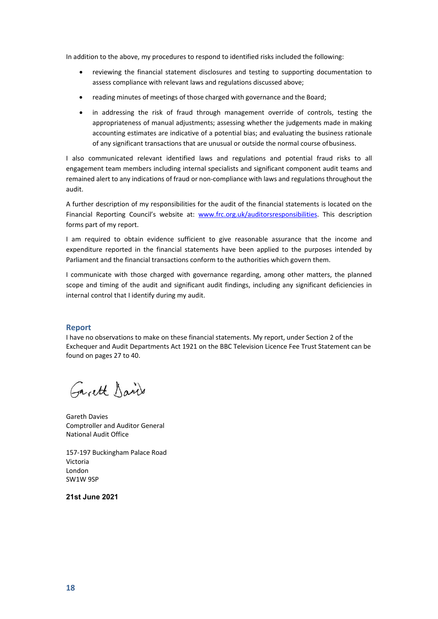In addition to the above, my procedures to respond to identified risks included the following:

- reviewing the financial statement disclosures and testing to supporting documentation to assess compliance with relevant laws and regulations discussed above;
- reading minutes of meetings of those charged with governance and the Board;
- in addressing the risk of fraud through management override of controls, testing the appropriateness of manual adjustments; assessing whether the judgements made in making accounting estimates are indicative of a potential bias; and evaluating the business rationale of any significant transactions that are unusual or outside the normal course ofbusiness.

I also communicated relevant identified laws and regulations and potential fraud risks to all engagement team members including internal specialists and significant component audit teams and remained alert to any indications of fraud or non-compliance with laws and regulations throughout the audit.

A further description of my responsibilities for the audit of the financial statements is located on the Financial Reporting Council's website at: [www.frc.org.uk/auditorsresponsibilities.](https://www.frc.org.uk/auditors/audit-assurance/auditor-s-responsibilities-for-the-audit-of-the-fi/description-of-the-auditor%e2%80%99s-responsibilities-for) This description forms part of my report.

I am required to obtain evidence sufficient to give reasonable assurance that the income and expenditure reported in the financial statements have been applied to the purposes intended by Parliament and the financial transactions conform to the authorities which govern them.

I communicate with those charged with governance regarding, among other matters, the planned scope and timing of the audit and significant audit findings, including any significant deficiencies in internal control that I identify during my audit.

#### **Report**

I have no observations to make on these financial statements. My report, under Section 2 of the Exchequer and Audit Departments Act 1921 on the BBC Television Licence Fee Trust Statement can be found on pages 27 to 40.

Garett David

Gareth Davies Comptroller and Auditor General National Audit Office

157-197 Buckingham Palace Road Victoria London SW1W 9SP

**21st June 2021**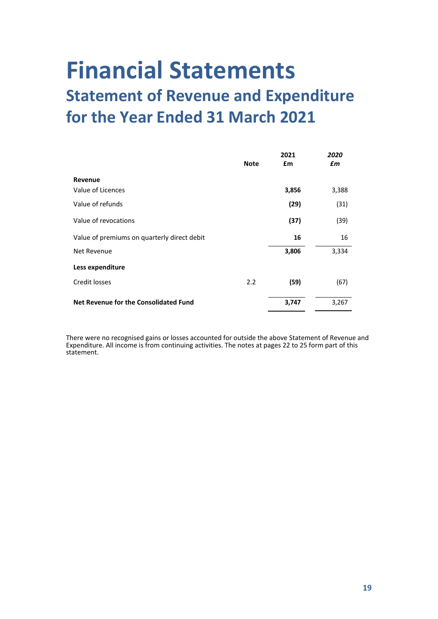# <span id="page-21-1"></span><span id="page-21-0"></span>**Financial Statements Statement of Revenue and Expenditure for the Year Ended 31 March 2021**

| <b>Note</b>                                 | 2021<br>£m | 2020<br>£m |
|---------------------------------------------|------------|------------|
| Revenue                                     |            |            |
| Value of Licences                           | 3,856      | 3,388      |
| Value of refunds                            | (29)       | (31)       |
| Value of revocations                        | (37)       | (39)       |
| Value of premiums on quarterly direct debit | 16         | 16         |
| Net Revenue                                 | 3,806      | 3,334      |
| Less expenditure                            |            |            |
| Credit losses<br>2.2                        | (59)       | (67)       |
| Net Revenue for the Consolidated Fund       | 3,747      | 3,267      |

There were no recognised gains or losses accounted for outside the above Statement of Revenue and Expenditure. All income is from continuing activities. The notes at pages 22 to 25 form part of this statement.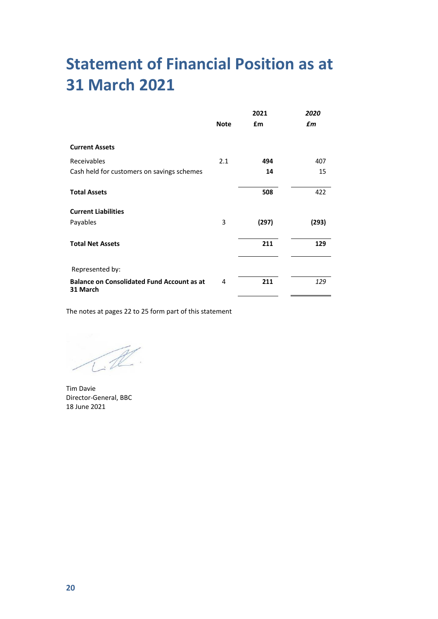# <span id="page-22-0"></span>**Statement of Financial Position as at 31 March 2021**

|                                                               |             | 2021  | 2020  |
|---------------------------------------------------------------|-------------|-------|-------|
|                                                               | <b>Note</b> | £m    | £m    |
| <b>Current Assets</b>                                         |             |       |       |
| Receivables                                                   | 2.1         | 494   | 407   |
| Cash held for customers on savings schemes                    |             | 14    | 15    |
| <b>Total Assets</b>                                           |             | 508   | 422   |
| <b>Current Liabilities</b>                                    |             |       |       |
| Payables                                                      | 3           | (297) | (293) |
| <b>Total Net Assets</b>                                       |             | 211   | 129   |
| Represented by:                                               |             |       |       |
| <b>Balance on Consolidated Fund Account as at</b><br>31 March | 4           | 211   | 129   |

The notes at pages 22 to 25 form part of this statement

Tim Davie Director-General, BBC 18 June 2021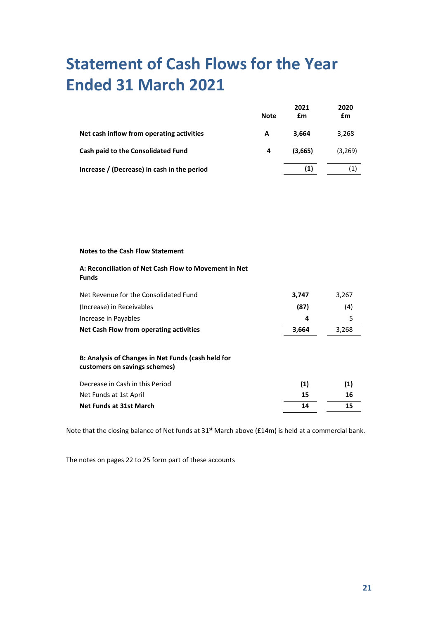# <span id="page-23-0"></span>**Statement of Cash Flows for the Year Ended 31 March 2021**

|                                             | <b>Note</b> | 2021<br>£m | 2020<br>£m |
|---------------------------------------------|-------------|------------|------------|
| Net cash inflow from operating activities   | A           | 3.664      | 3,268      |
| Cash paid to the Consolidated Fund          | 4           | (3.665)    | (3,269)    |
| Increase / (Decrease) in cash in the period |             | (1)        |            |

#### **Notes to the Cash Flow Statement**

#### **A: Reconciliation of Net Cash Flow to Movement in Net Funds**

| Net Revenue for the Consolidated Fund                                               | 3,747 | 3,267 |
|-------------------------------------------------------------------------------------|-------|-------|
| (Increase) in Receivables                                                           | (87)  | (4)   |
| Increase in Payables                                                                | 4     | 5     |
| Net Cash Flow from operating activities                                             | 3,664 | 3,268 |
| B: Analysis of Changes in Net Funds (cash held for<br>customers on savings schemes) |       |       |
| Decrease in Cash in this Period                                                     | (1)   | (1)   |
| Net Funds at 1st April                                                              | 15    | 16    |
| Net Funds at 31st March                                                             | 14    | 15    |

Note that the closing balance of Net funds at 31<sup>st</sup> March above (£14m) is held at a commercial bank.

The notes on pages 22 to 25 form part of these accounts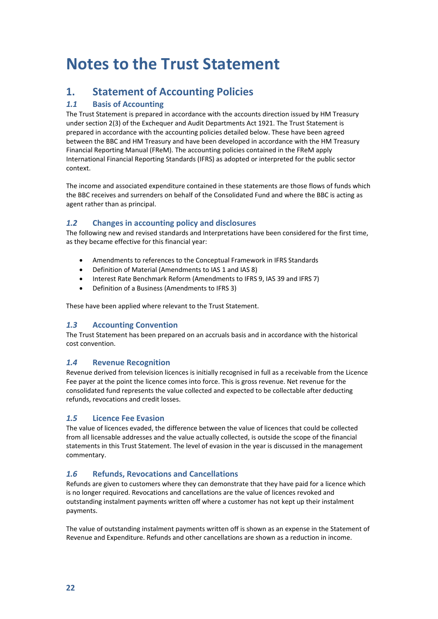# <span id="page-24-0"></span>**Notes to the Trust Statement**

#### **1. Statement of Accounting Policies**

#### *1.1* **Basis of Accounting**

The Trust Statement is prepared in accordance with the accounts direction issued by HM Treasury under section 2(3) of the Exchequer and Audit Departments Act 1921. The Trust Statement is prepared in accordance with the accounting policies detailed below. These have been agreed between the BBC and HM Treasury and have been developed in accordance with the HM Treasury Financial Reporting Manual (FReM). The accounting policies contained in the FReM apply International Financial Reporting Standards (IFRS) as adopted or interpreted for the public sector context.

The income and associated expenditure contained in these statements are those flows of funds which the BBC receives and surrenders on behalf of the Consolidated Fund and where the BBC is acting as agent rather than as principal.

#### *1.2* **Changes in accounting policy and disclosures**

The following new and revised standards and Interpretations have been considered for the first time, as they became effective for this financial year:

- Amendments to references to the Conceptual Framework in IFRS Standards
- Definition of Material (Amendments to IAS 1 and IAS 8)
- Interest Rate Benchmark Reform (Amendments to IFRS 9, IAS 39 and IFRS 7)
- Definition of a Business (Amendments to IFRS 3)

These have been applied where relevant to the Trust Statement.

#### *1.3* **Accounting Convention**

The Trust Statement has been prepared on an accruals basis and in accordance with the historical cost convention.

#### *1.4* **Revenue Recognition**

Revenue derived from television licences is initially recognised in full as a receivable from the Licence Fee payer at the point the licence comes into force. This is gross revenue. Net revenue for the consolidated fund represents the value collected and expected to be collectable after deducting refunds, revocations and credit losses.

#### *1.5* **Licence Fee Evasion**

The value of licences evaded, the difference between the value of licences that could be collected from all licensable addresses and the value actually collected, is outside the scope of the financial statements in this Trust Statement. The level of evasion in the year is discussed in the management commentary.

#### *1.6* **Refunds, Revocations and Cancellations**

Refunds are given to customers where they can demonstrate that they have paid for a licence which is no longer required. Revocations and cancellations are the value of licences revoked and outstanding instalment payments written off where a customer has not kept up their instalment payments.

The value of outstanding instalment payments written off is shown as an expense in the Statement of Revenue and Expenditure. Refunds and other cancellations are shown as a reduction in income.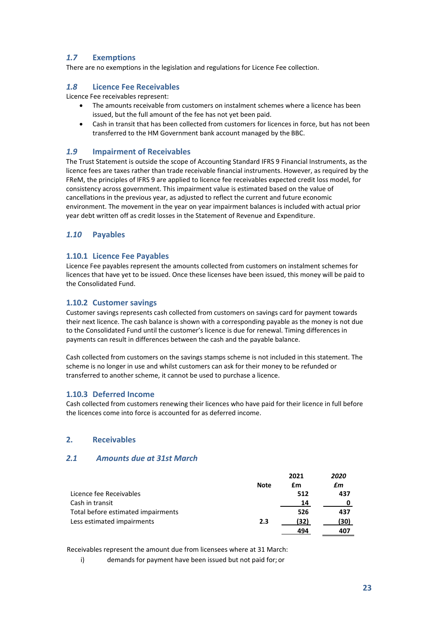#### *1.7* **Exemptions**

There are no exemptions in the legislation and regulations for Licence Fee collection.

#### *1.8* **Licence Fee Receivables**

Licence Fee receivables represent:

- The amounts receivable from customers on instalment schemes where a licence has been issued, but the full amount of the fee has not yet been paid.
- Cash in transit that has been collected from customers for licences in force, but has not been transferred to the HM Government bank account managed by the BBC.

#### *1.9* **Impairment of Receivables**

The Trust Statement is outside the scope of Accounting Standard IFRS 9 Financial Instruments, as the licence fees are taxes rather than trade receivable financial instruments. However, as required by the FReM, the principles of IFRS 9 are applied to licence fee receivables expected credit loss model, for consistency across government. This impairment value is estimated based on the value of cancellations in the previous year, as adjusted to reflect the current and future economic environment. The movement in the year on year impairment balances is included with actual prior year debt written off as credit losses in the Statement of Revenue and Expenditure.

#### *1.10* **Payables**

#### **1.10.1 Licence Fee Payables**

Licence Fee payables represent the amounts collected from customers on instalment schemes for licences that have yet to be issued. Once these licenses have been issued, this money will be paid to the Consolidated Fund.

#### **1.10.2 Customer savings**

Customer savings represents cash collected from customers on savings card for payment towards their next licence. The cash balance is shown with a corresponding payable as the money is not due to the Consolidated Fund until the customer's licence is due for renewal. Timing differences in payments can result in differences between the cash and the payable balance.

Cash collected from customers on the savings stamps scheme is not included in this statement. The scheme is no longer in use and whilst customers can ask for their money to be refunded or transferred to another scheme, it cannot be used to purchase a licence.

#### **1.10.3 Deferred Income**

Cash collected from customers renewing their licences who have paid for their licence in full before the licences come into force is accounted for as deferred income.

#### **2. Receivables**

#### *2.1 Amounts due at 31st March*

|                                    |             | 2021 | 2020 |
|------------------------------------|-------------|------|------|
|                                    | <b>Note</b> | £m   | £m   |
| Licence fee Receivables            |             | 512  | 437  |
| Cash in transit                    |             | 14   |      |
| Total before estimated impairments |             | 526  | 437  |
| Less estimated impairments         | 2.3         | (32) | (30) |
|                                    |             | 494  | 407  |

Receivables represent the amount due from licensees where at 31 March:

i) demands for payment have been issued but not paid for; or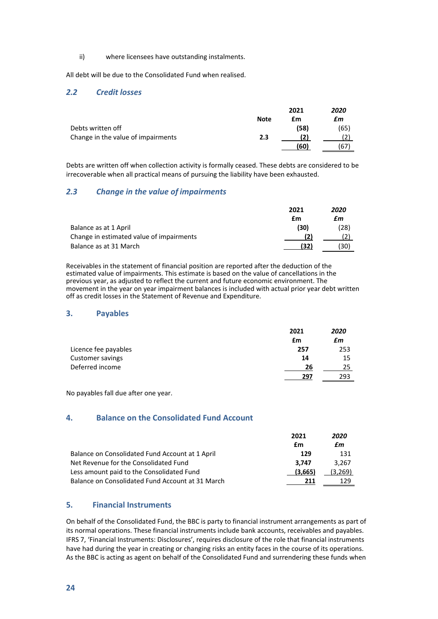ii) where licensees have outstanding instalments.

All debt will be due to the Consolidated Fund when realised.

#### *2.2 Credit losses*

|                                    |             | 2021 | 2020 |
|------------------------------------|-------------|------|------|
|                                    | <b>Note</b> | £m   | £m   |
| Debts written off                  |             | (58) | (65) |
| Change in the value of impairments | 2.3         |      |      |
|                                    |             | (60) | 67   |

Debts are written off when collection activity is formally ceased. These debts are considered to be irrecoverable when all practical means of pursuing the liability have been exhausted.

#### *2.3 Change in the value of impairments*

|                                          | 2021 | 2020 |
|------------------------------------------|------|------|
|                                          | £m   | £m   |
| Balance as at 1 April                    | (30) | (28) |
| Change in estimated value of impairments |      |      |
| Balance as at 31 March                   | (32) | (30) |

Receivables in the statement of financial position are reported after the deduction of the estimated value of impairments. This estimate is based on the value of cancellations in the previous year, as adjusted to reflect the current and future economic environment. The movement in the year on year impairment balances is included with actual prior year debt written off as credit losses in the Statement of Revenue and Expenditure.

#### **3. Payables**

|                      | 2021 | 2020 |
|----------------------|------|------|
|                      | £m   | £m   |
| Licence fee payables | 257  | 253  |
| Customer savings     | 14   | 15   |
| Deferred income      | 26   | 25   |
|                      | 297  | 293  |

No payables fall due after one year.

#### **4. Balance on the Consolidated Fund Account**

|                                                  | 2021    | 2020    |
|--------------------------------------------------|---------|---------|
|                                                  | £m      | £m      |
| Balance on Consolidated Fund Account at 1 April  | 129     | 131     |
| Net Revenue for the Consolidated Fund            | 3.747   | 3.267   |
| Less amount paid to the Consolidated Fund        | (3,665) | (3,269) |
| Balance on Consolidated Fund Account at 31 March | 211     | 179     |

#### **5. Financial Instruments**

On behalf of the Consolidated Fund, the BBC is party to financial instrument arrangements as part of its normal operations. These financial instruments include bank accounts, receivables and payables. IFRS 7, 'Financial Instruments: Disclosures', requires disclosure of the role that financial instruments have had during the year in creating or changing risks an entity faces in the course of its operations. As the BBC is acting as agent on behalf of the Consolidated Fund and surrendering these funds when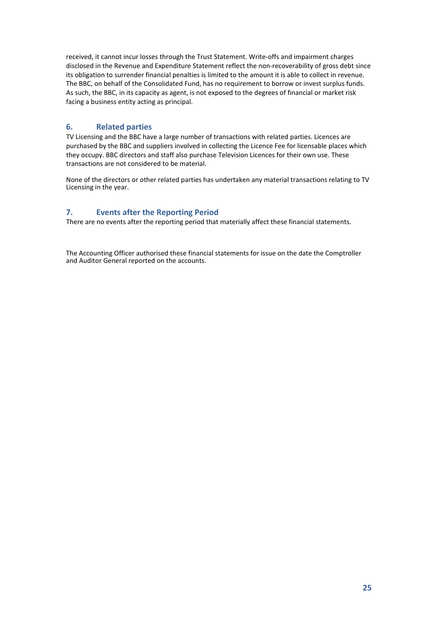received, it cannot incur losses through the Trust Statement. Write-offs and impairment charges disclosed in the Revenue and Expenditure Statement reflect the non-recoverability of gross debt since its obligation to surrender financial penalties is limited to the amount it is able to collect in revenue. The BBC, on behalf of the Consolidated Fund, has no requirement to borrow or invest surplus funds. As such, the BBC, in its capacity as agent, is not exposed to the degrees of financial or market risk facing a business entity acting as principal.

#### **6. Related parties**

TV Licensing and the BBC have a large number of transactions with related parties. Licences are purchased by the BBC and suppliers involved in collecting the Licence Fee for licensable places which they occupy. BBC directors and staff also purchase Television Licences for their own use. These transactions are not considered to be material.

None of the directors or other related parties has undertaken any material transactions relating to TV Licensing in the year.

#### **7. Events after the Reporting Period**

There are no events after the reporting period that materially affect these financial statements.

The Accounting Officer authorised these financial statements for issue on the date the Comptroller and Auditor General reported on the accounts.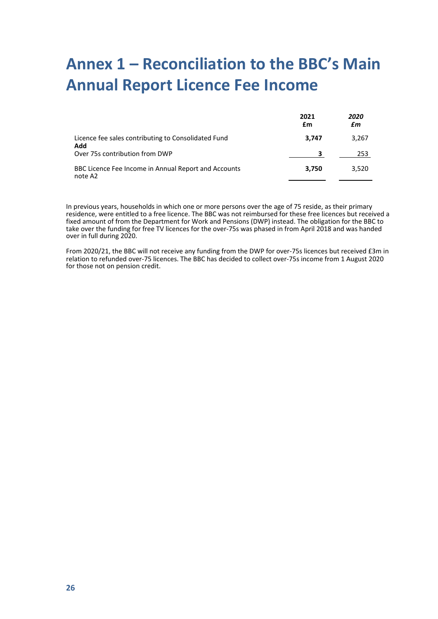# <span id="page-28-0"></span>**Annex 1 – Reconciliation to the BBC's Main Annual Report Licence Fee Income**

|                                                                 | 2021<br>£m | 2020<br>£m |
|-----------------------------------------------------------------|------------|------------|
| Licence fee sales contributing to Consolidated Fund<br>Add      | 3.747      | 3.267      |
| Over 75s contribution from DWP                                  | ર          | 253        |
| BBC Licence Fee Income in Annual Report and Accounts<br>note A2 | 3,750      | 3.520      |

In previous years, households in which one or more persons over the age of 75 reside, as their primary residence, were entitled to a free licence. The BBC was not reimbursed for these free licences but received a fixed amount of from the Department for Work and Pensions (DWP) instead. The obligation for the BBC to take over the funding for free TV licences for the over-75s was phased in from April 2018 and was handed over in full during 2020.

From 2020/21, the BBC will not receive any funding from the DWP for over-75s licences but received £3m in relation to refunded over-75 licences. The BBC has decided to collect over-75s income from 1 August 2020 for those not on pension credit.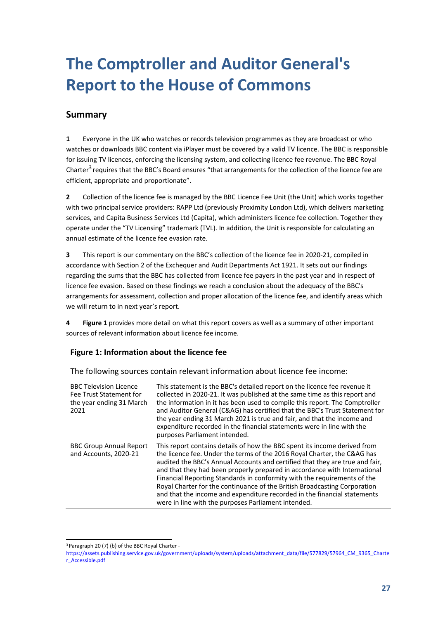# <span id="page-29-0"></span>**The Comptroller and Auditor General's Report to the House of Commons**

#### **Summary**

**1** Everyone in the UK who watches or records television programmes as they are broadcast or who watches or downloads BBC content via iPlayer must be covered by a valid TV licence. The BBC is responsible for issuing TV licences, enforcing the licensing system, and collecting licence fee revenue. The BBC Royal Charter<sup>3</sup> requires that the BBC's Board ensures "that arrangements for the collection of the licence fee are efficient, appropriate and proportionate".

**2** Collection of the licence fee is managed by the BBC Licence Fee Unit (the Unit) which works together with two principal service providers: RAPP Ltd (previously Proximity London Ltd), which delivers marketing services, and Capita Business Services Ltd (Capita), which administers licence fee collection. Together they operate under the "TV Licensing" trademark (TVL). In addition, the Unit is responsible for calculating an annual estimate of the licence fee evasion rate.

**3** This report is our commentary on the BBC's collection of the licence fee in 2020-21, compiled in accordance with Section 2 of the Exchequer and Audit Departments Act 1921. It sets out our findings regarding the sums that the BBC has collected from licence fee payers in the past year and in respect of licence fee evasion. Based on these findings we reach a conclusion about the adequacy of the BBC's arrangements for assessment, collection and proper allocation of the licence fee, and identify areas which we will return to in next year's report.

**4 [Figure 1](#page-29-2)** provides more detail on what this report covers as well as a summary of other important sources of relevant information about licence fee income.

#### <span id="page-29-2"></span>**Figure 1: Information about the licence fee**

The following sources contain relevant information about licence fee income:

| <b>BBC Television Licence</b><br>Fee Trust Statement for<br>the year ending 31 March<br>2021 | This statement is the BBC's detailed report on the licence fee revenue it<br>collected in 2020-21. It was published at the same time as this report and<br>the information in it has been used to compile this report. The Comptroller<br>and Auditor General (C&AG) has certified that the BBC's Trust Statement for<br>the year ending 31 March 2021 is true and fair, and that the income and<br>expenditure recorded in the financial statements were in line with the<br>purposes Parliament intended.                                                                                                    |
|----------------------------------------------------------------------------------------------|----------------------------------------------------------------------------------------------------------------------------------------------------------------------------------------------------------------------------------------------------------------------------------------------------------------------------------------------------------------------------------------------------------------------------------------------------------------------------------------------------------------------------------------------------------------------------------------------------------------|
| <b>BBC Group Annual Report</b><br>and Accounts, 2020-21                                      | This report contains details of how the BBC spent its income derived from<br>the licence fee. Under the terms of the 2016 Royal Charter, the C&AG has<br>audited the BBC's Annual Accounts and certified that they are true and fair,<br>and that they had been properly prepared in accordance with International<br>Financial Reporting Standards in conformity with the requirements of the<br>Royal Charter for the continuance of the British Broadcasting Corporation<br>and that the income and expenditure recorded in the financial statements<br>were in line with the purposes Parliament intended. |

<span id="page-29-1"></span><sup>3</sup> Paragraph 20 (7) (b) of the BBC Royal Charter -

[https://assets.publishing.service.gov.uk/government/uploads/system/uploads/attachment\\_data/file/577829/57964\\_CM\\_9365\\_Charte](https://assets.publishing.service.gov.uk/government/uploads/system/uploads/attachment_data/file/577829/57964_CM_9365_Charter_Accessible.pdf) [r\\_Accessible.pdf](https://assets.publishing.service.gov.uk/government/uploads/system/uploads/attachment_data/file/577829/57964_CM_9365_Charter_Accessible.pdf)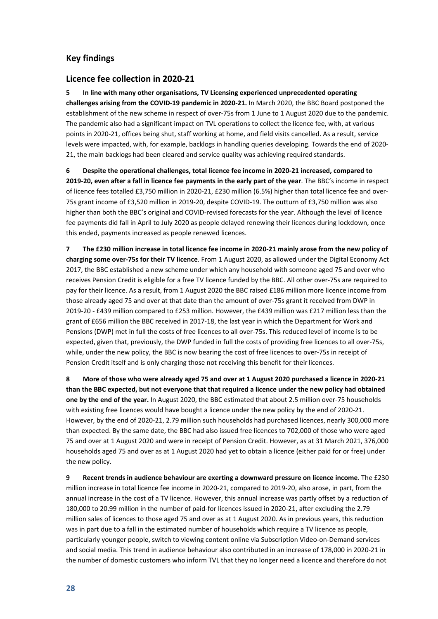#### **Key findings**

#### **Licence fee collection in 2020-21**

**5 In line with many other organisations, TV Licensing experienced unprecedented operating challenges arising from the COVID-19 pandemic in 2020-21.** In March 2020, the BBC Board postponed the establishment of the new scheme in respect of over-75s from 1 June to 1 August 2020 due to the pandemic. The pandemic also had a significant impact on TVL operations to collect the licence fee, with, at various points in 2020-21, offices being shut, staff working at home, and field visits cancelled. As a result, service levels were impacted, with, for example, backlogs in handling queries developing. Towards the end of 2020- 21, the main backlogs had been cleared and service quality was achieving required standards.

**6 Despite the operational challenges, total licence fee income in 2020-21 increased, compared to 2019-20, even after a fall in licence fee payments in the early part of the year**. The BBC's income in respect of licence fees totalled £3,750 million in 2020-21, £230 million (6.5%) higher than total licence fee and over-75s grant income of £3,520 million in 2019-20, despite COVID-19. The outturn of £3,750 million was also higher than both the BBC's original and COVID-revised forecasts for the year. Although the level of licence fee payments did fall in April to July 2020 as people delayed renewing their licences during lockdown, once this ended, payments increased as people renewed licences.

**7 The £230 million increase in total licence fee income in 2020-21 mainly arose from the new policy of charging some over-75s for their TV licence**. From 1 August 2020, as allowed under the Digital Economy Act 2017, the BBC established a new scheme under which any household with someone aged 75 and over who receives Pension Credit is eligible for a free TV licence funded by the BBC. All other over-75s are required to pay for their licence. As a result, from 1 August 2020 the BBC raised £186 million more licence income from those already aged 75 and over at that date than the amount of over-75s grant it received from DWP in 2019-20 - £439 million compared to £253 million. However, the £439 million was £217 million less than the grant of £656 million the BBC received in 2017-18, the last year in which the Department for Work and Pensions (DWP) met in full the costs of free licences to all over-75s. This reduced level of income is to be expected, given that, previously, the DWP funded in full the costs of providing free licences to all over-75s, while, under the new policy, the BBC is now bearing the cost of free licences to over-75s in receipt of Pension Credit itself and is only charging those not receiving this benefit for their licences.

**8 More of those who were already aged 75 and over at 1 August 2020 purchased a licence in 2020-21 than the BBC expected, but not everyone that that required a licence under the new policy had obtained one by the end of the year.** In August 2020, the BBC estimated that about 2.5 million over-75 households with existing free licences would have bought a licence under the new policy by the end of 2020-21. However, by the end of 2020-21, 2.79 million such households had purchased licences, nearly 300,000 more than expected. By the same date, the BBC had also issued free licences to 702,000 of those who were aged 75 and over at 1 August 2020 and were in receipt of Pension Credit. However, as at 31 March 2021, 376,000 households aged 75 and over as at 1 August 2020 had yet to obtain a licence (either paid for or free) under the new policy.

**9 Recent trends in audience behaviour are exerting a downward pressure on licence income**. The £230 million increase in total licence fee income in 2020-21, compared to 2019-20, also arose, in part, from the annual increase in the cost of a TV licence. However, this annual increase was partly offset by a reduction of 180,000 to 20.99 million in the number of paid-for licences issued in 2020-21, after excluding the 2.79 million sales of licences to those aged 75 and over as at 1 August 2020. As in previous years, this reduction was in part due to a fall in the estimated number of households which require a TV licence as people, particularly younger people, switch to viewing content online via Subscription Video-on-Demand services and social media. This trend in audience behaviour also contributed in an increase of 178,000 in 2020-21 in the number of domestic customers who inform TVL that they no longer need a licence and therefore do not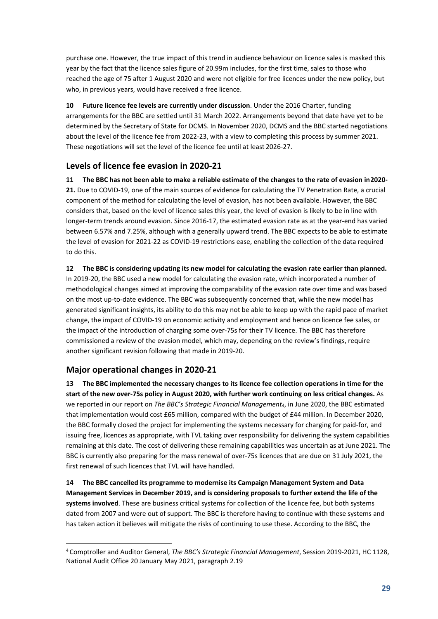purchase one. However, the true impact of this trend in audience behaviour on licence sales is masked this year by the fact that the licence sales figure of 20.99m includes, for the first time, sales to those who reached the age of 75 after 1 August 2020 and were not eligible for free licences under the new policy, but who, in previous years, would have received a free licence.

**10 Future licence fee levels are currently under discussion**. Under the 2016 Charter, funding arrangements for the BBC are settled until 31 March 2022. Arrangements beyond that date have yet to be determined by the Secretary of State for DCMS. In November 2020, DCMS and the BBC started negotiations about the level of the licence fee from 2022-23, with a view to completing this process by summer 2021. These negotiations will set the level of the licence fee until at least 2026-27.

#### **Levels of licence fee evasion in 2020-21**

**11 The BBC has not been able to make a reliable estimate of the changes to the rate of evasion in2020- 21.** Due to COVID-19, one of the main sources of evidence for calculating the TV Penetration Rate, a crucial component of the method for calculating the level of evasion, has not been available. However, the BBC considers that, based on the level of licence sales this year, the level of evasion is likely to be in line with longer-term trends around evasion. Since 2016-17, the estimated evasion rate as at the year-end has varied between 6.57% and 7.25%, although with a generally upward trend. The BBC expects to be able to estimate the level of evasion for 2021-22 as COVID-19 restrictions ease, enabling the collection of the data required to do this.

**12 The BBC is considering updating its new model for calculating the evasion rate earlier than planned.**  In 2019-20, the BBC used a new model for calculating the evasion rate, which incorporated a number of methodological changes aimed at improving the comparability of the evasion rate over time and was based on the most up-to-date evidence. The BBC was subsequently concerned that, while the new model has generated significant insights, its ability to do this may not be able to keep up with the rapid pace of market change, the impact of COVID-19 on economic activity and employment and hence on licence fee sales, or the impact of the introduction of charging some over-75s for their TV licence. The BBC has therefore commissioned a review of the evasion model, which may, depending on the review's findings, require another significant revision following that made in 2019-20.

#### **Major operational changes in 2020-21**

**13 The BBC implemented the necessary changes to its licence fee collection operations in time for the start of the new over-75s policy in August 2020, with further work continuing on less critical changes.** As we reported in our report on *The BBC's Strategic Financial Management*[4,](#page-31-0) in June 2020, the BBC estimated that implementation would cost £65 million, compared with the budget of £44 million. In December 2020, the BBC formally closed the project for implementing the systems necessary for charging for paid-for, and issuing free, licences as appropriate, with TVL taking over responsibility for delivering the system capabilities remaining at this date. The cost of delivering these remaining capabilities was uncertain as at June 2021. The BBC is currently also preparing for the mass renewal of over-75s licences that are due on 31 July 2021, the first renewal of such licences that TVL will have handled.

**14 The BBC cancelled its programme to modernise its Campaign Management System and Data Management Services in December 2019, and is considering proposals to further extend the life of the systems involved**. These are business critical systems for collection of the licence fee, but both systems dated from 2007 and were out of support. The BBC is therefore having to continue with these systems and has taken action it believes will mitigate the risks of continuing to use these. According to the BBC, the

<span id="page-31-0"></span><sup>4</sup> Comptroller and Auditor General, *The BBC's Strategic Financial Management*, Session 2019-2021, HC 1128, National Audit Office 20 January May 2021, paragraph 2.19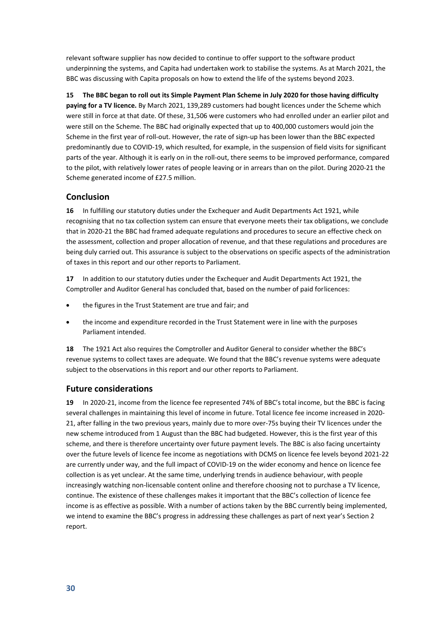relevant software supplier has now decided to continue to offer support to the software product underpinning the systems, and Capita had undertaken work to stabilise the systems. As at March 2021, the BBC was discussing with Capita proposals on how to extend the life of the systems beyond 2023.

**15 The BBC began to roll out its Simple Payment Plan Scheme in July 2020 for those having difficulty paying for a TV licence.** By March 2021, 139,289 customers had bought licences under the Scheme which were still in force at that date. Of these, 31,506 were customers who had enrolled under an earlier pilot and were still on the Scheme. The BBC had originally expected that up to 400,000 customers would join the Scheme in the first year of roll-out. However, the rate of sign-up has been lower than the BBC expected predominantly due to COVID-19, which resulted, for example, in the suspension of field visits for significant parts of the year. Although it is early on in the roll-out, there seems to be improved performance, compared to the pilot, with relatively lower rates of people leaving or in arrears than on the pilot. During 2020-21 the Scheme generated income of £27.5 million.

#### **Conclusion**

**16** In fulfilling our statutory duties under the Exchequer and Audit Departments Act 1921, while recognising that no tax collection system can ensure that everyone meets their tax obligations, we conclude that in 2020-21 the BBC had framed adequate regulations and procedures to secure an effective check on the assessment, collection and proper allocation of revenue, and that these regulations and procedures are being duly carried out. This assurance is subject to the observations on specific aspects of the administration of taxes in this report and our other reports to Parliament.

**17** In addition to our statutory duties under the Exchequer and Audit Departments Act 1921, the Comptroller and Auditor General has concluded that, based on the number of paid forlicences:

- the figures in the Trust Statement are true and fair; and
- the income and expenditure recorded in the Trust Statement were in line with the purposes Parliament intended.

**18** The 1921 Act also requires the Comptroller and Auditor General to consider whether the BBC's revenue systems to collect taxes are adequate. We found that the BBC's revenue systems were adequate subject to the observations in this report and our other reports to Parliament.

#### **Future considerations**

**19** In 2020-21, income from the licence fee represented 74% of BBC's total income, but the BBC is facing several challenges in maintaining this level of income in future. Total licence fee income increased in 2020- 21, after falling in the two previous years, mainly due to more over-75s buying their TV licences under the new scheme introduced from 1 August than the BBC had budgeted. However, this is the first year of this scheme, and there is therefore uncertainty over future payment levels. The BBC is also facing uncertainty over the future levels of licence fee income as negotiations with DCMS on licence fee levels beyond 2021-22 are currently under way, and the full impact of COVID-19 on the wider economy and hence on licence fee collection is as yet unclear. At the same time, underlying trends in audience behaviour, with people increasingly watching non-licensable content online and therefore choosing not to purchase a TV licence, continue. The existence of these challenges makes it important that the BBC's collection of licence fee income is as effective as possible. With a number of actions taken by the BBC currently being implemented, we intend to examine the BBC's progress in addressing these challenges as part of next year's Section 2 report.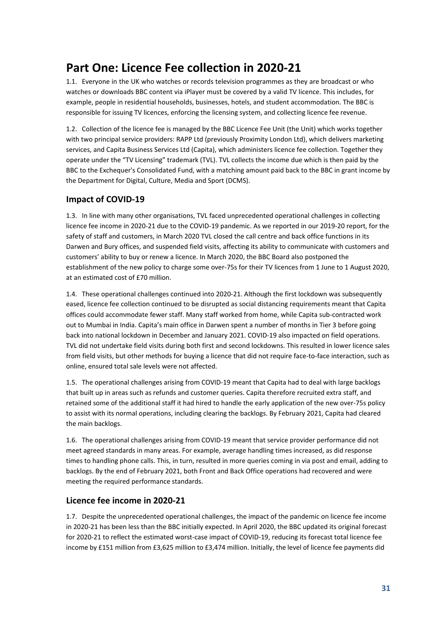### **Part One: Licence Fee collection in 2020-21**

1.1. Everyone in the UK who watches or records television programmes as they are broadcast or who watches or downloads BBC content via iPlayer must be covered by a valid TV licence. This includes, for example, people in residential households, businesses, hotels, and student accommodation. The BBC is responsible for issuing TV licences, enforcing the licensing system, and collecting licence fee revenue.

1.2. Collection of the licence fee is managed by the BBC Licence Fee Unit (the Unit) which works together with two principal service providers: RAPP Ltd (previously Proximity London Ltd), which delivers marketing services, and Capita Business Services Ltd (Capita), which administers licence fee collection. Together they operate under the "TV Licensing" trademark (TVL). TVL collects the income due which is then paid by the BBC to the Exchequer's Consolidated Fund, with a matching amount paid back to the BBC in grant income by the Department for Digital, Culture, Media and Sport (DCMS).

#### **Impact of COVID-19**

<span id="page-33-0"></span>1.3. In line with many other organisations, TVL faced unprecedented operational challenges in collecting licence fee income in 2020-21 due to the COVID-19 pandemic. As we reported in our 2019-20 report, for the safety of staff and customers, in March 2020 TVL closed the call centre and back office functions in its Darwen and Bury offices, and suspended field visits, affecting its ability to communicate with customers and customers' ability to buy or renew a licence. In March 2020, the BBC Board also postponed the establishment of the new policy to charge some over-75s for their TV licences from 1 June to 1 August 2020, at an estimated cost of £70 million.

1.4. These operational challenges continued into 2020-21. Although the first lockdown was subsequently eased, licence fee collection continued to be disrupted as social distancing requirements meant that Capita offices could accommodate fewer staff. Many staff worked from home, while Capita sub-contracted work out to Mumbai in India. Capita's main office in Darwen spent a number of months in Tier 3 before going back into national lockdown in December and January 2021. COVID-19 also impacted on field operations. TVL did not undertake field visits during both first and second lockdowns. This resulted in lower licence sales from field visits, but other methods for buying a licence that did not require face-to-face interaction, such as online, ensured total sale levels were not affected.

1.5. The operational challenges arising from COVID-19 meant that Capita had to deal with large backlogs that built up in areas such as refunds and customer queries. Capita therefore recruited extra staff, and retained some of the additional staff it had hired to handle the early application of the new over-75s policy to assist with its normal operations, including clearing the backlogs. By February 2021, Capita had cleared the main backlogs.

<span id="page-33-1"></span>1.6. The operational challenges arising from COVID-19 meant that service provider performance did not meet agreed standards in many areas. For example, average handling times increased, as did response times to handling phone calls. This, in turn, resulted in more queries coming in via post and email, adding to backlogs. By the end of February 2021, both Front and Back Office operations had recovered and were meeting the required performance standards.

#### **Licence fee income in 2020-21**

1.7. Despite the unprecedented operational challenges, the impact of the pandemic on licence fee income in 2020-21 has been less than the BBC initially expected. In April 2020, the BBC updated its original forecast for 2020-21 to reflect the estimated worst-case impact of COVID-19, reducing its forecast total licence fee income by £151 million from £3,625 million to £3,474 million. Initially, the level of licence fee payments did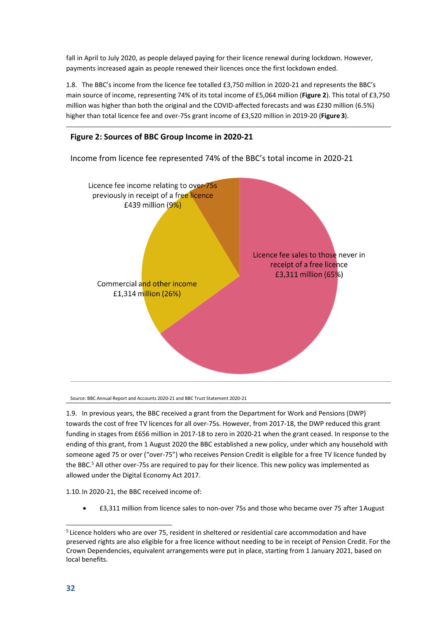fall in April to July 2020, as people delayed paying for their licence renewal during lockdown. However, payments increased again as people renewed their licences once the first lockdown ended.

<span id="page-34-2"></span>1.8. The BBC's income from the licence fee totalled £3,750 million in 2020-21 and represents the BBC's main source of income, representing 74% of its total income of £5,064 million (**[Figure 2](#page-34-0)**). This total of £3,750 million was higher than both the original and the COVID-affected forecasts and was £230 million (6.5%) higher than total licence fee and over-75s grant income of £3,520 million in 2019-20 (**[Figure 3](#page-35-0)**).

#### <span id="page-34-0"></span>**Figure 2: Sources of BBC Group Income in 2020-21**

Income from licence fee represented 74% of the BBC's total income in 2020-21



Source: BBC Annual Report and Accounts 2020-21 and BBC Trust Statement 2020-21

<span id="page-34-3"></span>the BB[C.](#page-34-1)<sup>5</sup> All other over-75s are required to pay for their licence. This new policy was implemented as allowed under the Digital Economy Act 2017. 1.9. In previous years, the BBC received a grant from the Department for Work and Pensions (DWP) towards the cost of free TV licences for all over-75s. However, from 2017-18, the DWP reduced this grant funding in stages from £656 million in 2017-18 to zero in 2020-21 when the grant ceased. In response to the ending of this grant, from 1 August 2020 the BBC established a new policy, under which any household with someone aged 75 or over ("over-75") who receives Pension Credit is eligible for a free TV licence funded by

1.10. In 2020-21, the BBC received income of:

• £3,311 million from licence sales to non-over 75s and those who became over 75 after 1August

<span id="page-34-1"></span><sup>5</sup> Licence holders who are over 75, resident in sheltered or residential care accommodation and have preserved rights are also eligible for a free licence without needing to be in receipt of Pension Credit. For the Crown Dependencies, equivalent arrangements were put in place, starting from 1 January 2021, based on local benefits.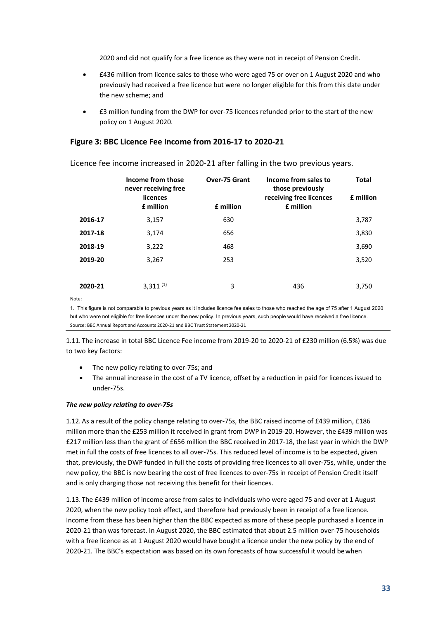2020 and did not qualify for a free licence as they were not in receipt of Pension Credit.

- £436 million from licence sales to those who were aged 75 or over on 1 August 2020 and who previously had received a free licence but were no longer eligible for this from this date under the new scheme; and
- £3 million funding from the DWP for over-75 licences refunded prior to the start of the new policy on 1 August 2020.

#### <span id="page-35-0"></span>**Figure 3: BBC Licence Fee Income from 2016-17 to 2020-21**

|         | Income from those<br>never receiving free<br>licences<br>£ million | <b>Over-75 Grant</b><br>£ million | Income from sales to<br>those previously<br>receiving free licences<br>£ million | <b>Total</b><br>£ million |
|---------|--------------------------------------------------------------------|-----------------------------------|----------------------------------------------------------------------------------|---------------------------|
| 2016-17 | 3,157                                                              | 630                               |                                                                                  | 3,787                     |
| 2017-18 | 3,174                                                              | 656                               |                                                                                  | 3,830                     |
| 2018-19 | 3,222                                                              | 468                               |                                                                                  | 3,690                     |
| 2019-20 | 3,267                                                              | 253                               |                                                                                  | 3,520                     |
|         |                                                                    |                                   |                                                                                  |                           |
| 2020-21 | $3,311^{(1)}$                                                      | 3                                 | 436                                                                              | 3.750                     |

Licence fee income increased in 2020-21 after falling in the two previous years.

Note:

1. This figure is not comparable to previous years as it includes licence fee sales to those who reached the age of 75 after 1 August 2020 but who were not eligible for free licences under the new policy. In previous years, such people would have received a free licence. Source: BBC Annual Report and Accounts 2020-21 and BBC Trust Statement 2020-21

1.11. The increase in total BBC Licence Fee income from 2019-20 to 2020-21 of £230 million (6.5%) was due to two key factors:

- The new policy relating to over-75s; and
- The annual increase in the cost of a TV licence, offset by a reduction in paid for licences issued to under-75s.

#### *The new policy relating to over-75s*

1.12. As a result of the policy change relating to over-75s, the BBC raised income of £439 million, £186 million more than the £253 million it received in grant from DWP in 2019-20. However, the £439 million was £217 million less than the grant of £656 million the BBC received in 2017-18, the last year in which the DWP met in full the costs of free licences to all over-75s. This reduced level of income is to be expected, given that, previously, the DWP funded in full the costs of providing free licences to all over-75s, while, under the new policy, the BBC is now bearing the cost of free licences to over-75s in receipt of Pension Credit itself and is only charging those not receiving this benefit for their licences.

<span id="page-35-1"></span>1.13. The £439 million of income arose from sales to individuals who were aged 75 and over at 1 August 2020, when the new policy took effect, and therefore had previously been in receipt of a free licence. Income from these has been higher than the BBC expected as more of these people purchased a licence in 2020-21 than was forecast. In August 2020, the BBC estimated that about 2.5 million over-75 households with a free licence as at 1 August 2020 would have bought a licence under the new policy by the end of 2020-21. The BBC's expectation was based on its own forecasts of how successful it would bewhen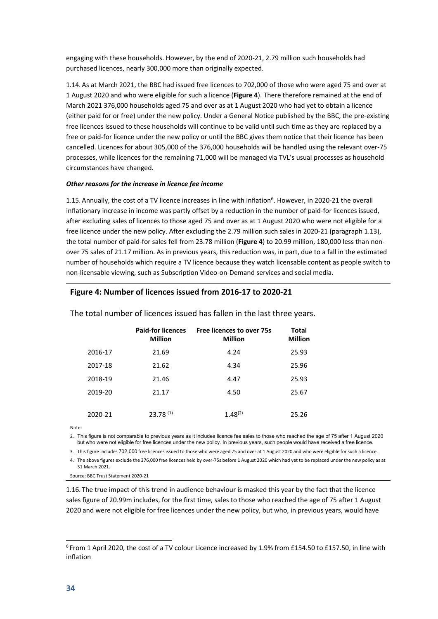engaging with these households. However, by the end of 2020-21, 2.79 million such households had purchased licences, nearly 300,000 more than originally expected.

1.14. As at March 2021, the BBC had issued free licences to 702,000 of those who were aged 75 and over at 1 August 2020 and who were eligible for such a licence (**[Figure 4](#page-36-0)**). There therefore remained at the end of March 2021 376,000 households aged 75 and over as at 1 August 2020 who had yet to obtain a licence (either paid for or free) under the new policy. Under a General Notice published by the BBC, the pre-existing free licences issued to these households will continue to be valid until such time as they are replaced by a free or paid-for licence under the new policy or until the BBC gives them notice that their licence has been cancelled. Licences for about 305,000 of the 376,000 households will be handled using the relevant over-75 processes, while licences for the remaining 71,000 will be managed via TVL's usual processes as household circumstances have changed.

#### *Other reasons for the increase in licence fee income*

1.15. Annually, the cost of a TV licence increases in line with inflation<sup>6</sup>. However, in 2020-21 the overall inflationary increase in income was partly offset by a reduction in the number of paid-for licences issued, after excluding sales of licences to those aged 75 and over as at 1 August 2020 who were not eligible for a free licence under the new policy. After excluding the 2.79 million such sales in 2020-21 (paragraph [1.13\)](#page-35-1), the total number of paid-for sales fell from 23.78 million (**[Figure 4](#page-36-0)**) to 20.99 million, 180,000 less than nonover 75 sales of 21.17 million. As in previous years, this reduction was, in part, due to a fall in the estimated number of households which require a TV licence because they watch licensable content as people switch to non-licensable viewing, such as Subscription Video-on-Demand services and social media.

#### <span id="page-36-0"></span>**Figure 4: Number of licences issued from 2016-17 to 2020-21**

|         | <b>Paid-for licences</b><br><b>Million</b> | <b>Free licences to over 75s</b><br><b>Million</b> | <b>Total</b><br><b>Million</b> |
|---------|--------------------------------------------|----------------------------------------------------|--------------------------------|
| 2016-17 | 21.69                                      | 4.24                                               | 25.93                          |
| 2017-18 | 21.62                                      | 4.34                                               | 25.96                          |
| 2018-19 | 21.46                                      | 4.47                                               | 25.93                          |
| 2019-20 | 21.17                                      | 4.50                                               | 25.67                          |
|         |                                            |                                                    |                                |
| 2020-21 | $23.78^{(1)}$                              | $1.48^{(2)}$                                       | 25.26                          |

The total number of licences issued has fallen in the last three years.

Note:

2. This figure is not comparable to previous years as it includes licence fee sales to those who reached the age of 75 after 1 August 2020 but who were not eligible for free licences under the new policy. In previous years, such people would have received a free licence.

3. This figure includes 702,000 free licences issued to those who were aged 75 and over at 1 August 2020 and who were eligible for such a licence.

4. The above figures exclude the 376,000 free licences held by over-75s before 1 August 2020 which had yet to be replaced under the new policy as at

31 March 2021. Source: BBC Trust Statement 2020-21

1.16. The true impact of this trend in audience behaviour is masked this year by the fact that the licence sales figure of 20.99m includes, for the first time, sales to those who reached the age of 75 after 1 August 2020 and were not eligible for free licences under the new policy, but who, in previous years, would have

<span id="page-36-1"></span><sup>6</sup> From 1 April 2020, the cost of a TV colour Licence increased by 1.9% from £154.50 to £157.50, in line with inflation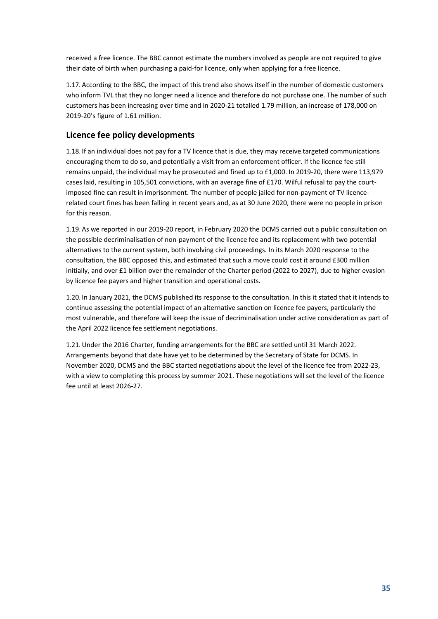received a free licence. The BBC cannot estimate the numbers involved as people are not required to give their date of birth when purchasing a paid-for licence, only when applying for a free licence.

1.17. According to the BBC, the impact of this trend also shows itself in the number of domestic customers who inform TVL that they no longer need a licence and therefore do not purchase one. The number of such customers has been increasing over time and in 2020-21 totalled 1.79 million, an increase of 178,000 on 2019-20's figure of 1.61 million.

#### **Licence fee policy developments**

1.18. If an individual does not pay for a TV licence that is due, they may receive targeted communications encouraging them to do so, and potentially a visit from an enforcement officer. If the licence fee still remains unpaid, the individual may be prosecuted and fined up to £1,000. In 2019-20, there were 113,979 cases laid, resulting in 105,501 convictions, with an average fine of £170. Wilful refusal to pay the courtimposed fine can result in imprisonment. The number of people jailed for non-payment of TV licencerelated court fines has been falling in recent years and, as at 30 June 2020, there were no people in prison for this reason.

1.19. As we reported in our 2019-20 report, in February 2020 the DCMS carried out a public consultation on the possible decriminalisation of non-payment of the licence fee and its replacement with two potential alternatives to the current system, both involving civil proceedings. In its March 2020 response to the consultation, the BBC opposed this, and estimated that such a move could cost it around £300 million initially, and over £1 billion over the remainder of the Charter period (2022 to 2027), due to higher evasion by licence fee payers and higher transition and operational costs.

1.20. In January 2021, the DCMS published its response to the consultation. In this it stated that it intends to continue assessing the potential impact of an alternative sanction on licence fee payers, particularly the most vulnerable, and therefore will keep the issue of decriminalisation under active consideration as part of the April 2022 licence fee settlement negotiations.

1.21.Under the 2016 Charter, funding arrangements for the BBC are settled until 31 March 2022. Arrangements beyond that date have yet to be determined by the Secretary of State for DCMS. In November 2020, DCMS and the BBC started negotiations about the level of the licence fee from 2022-23, with a view to completing this process by summer 2021. These negotiations will set the level of the licence fee until at least 2026-27.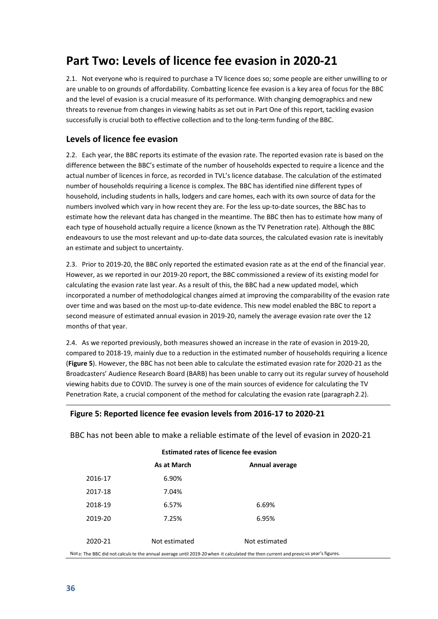### **Part Two: Levels of licence fee evasion in 2020-21**

2.1. Not everyone who is required to purchase a TV licence does so; some people are either unwilling to or are unable to on grounds of affordability. Combatting licence fee evasion is a key area of focus for the BBC and the level of evasion is a crucial measure of its performance. With changing demographics and new threats to revenue from changes in viewing habits as set out in Part One of this report, tackling evasion successfully is crucial both to effective collection and to the long-term funding of the BBC.

#### **Levels of licence fee evasion**

<span id="page-38-1"></span>2.2. Each year, the BBC reports its estimate of the evasion rate. The reported evasion rate is based on the difference between the BBC's estimate of the number of households expected to require a licence and the actual number of licences in force, as recorded in TVL's licence database. The calculation of the estimated number of households requiring a licence is complex. The BBC has identified nine different types of household, including students in halls, lodgers and care homes, each with its own source of data for the numbers involved which vary in how recent they are. For the less up-to-date sources, the BBC has to estimate how the relevant data has changed in the meantime. The BBC then has to estimate how many of each type of household actually require a licence (known as the TV Penetration rate). Although the BBC endeavours to use the most relevant and up-to-date data sources, the calculated evasion rate is inevitably an estimate and subject to uncertainty.

2.3. Prior to 2019-20, the BBC only reported the estimated evasion rate as at the end of the financial year. However, as we reported in our 2019-20 report, the BBC commissioned a review of its existing model for calculating the evasion rate last year. As a result of this, the BBC had a new updated model, which incorporated a number of methodological changes aimed at improving the comparability of the evasion rate over time and was based on the most up-to-date evidence. This new model enabled the BBC to report a second measure of estimated annual evasion in 2019-20, namely the average evasion rate over the 12 months of that year.

2.4. As we reported previously, both measures showed an increase in the rate of evasion in 2019-20, compared to 2018-19, mainly due to a reduction in the estimated number of households requiring a licence (**[Figure 5](#page-38-0)**). However, the BBC has not been able to calculate the estimated evasion rate for 2020-21 as the Broadcasters' Audience Research Board (BARB) has been unable to carry out its regular survey of household viewing habits due to COVID. The survey is one of the main sources of evidence for calculating the TV Penetration Rate, a crucial component of the method for calculating the evasion rate (paragrap[h2.2\)](#page-38-1).

#### <span id="page-38-0"></span>**Figure 5: Reported licence fee evasion levels from 2016-17 to 2020-21**

BBC has not been able to make a reliable estimate of the level of evasion in 2020-21

| <b>Estimated rates of licence fee evasion</b>                                                                                     |               |                |  |
|-----------------------------------------------------------------------------------------------------------------------------------|---------------|----------------|--|
|                                                                                                                                   | As at March   | Annual average |  |
| 2016-17                                                                                                                           | 6.90%         |                |  |
| 2017-18                                                                                                                           | 7.04%         |                |  |
| 2018-19                                                                                                                           | 6.57%         | 6.69%          |  |
| 2019-20                                                                                                                           | 7.25%         | 6.95%          |  |
|                                                                                                                                   |               |                |  |
| 2020-21                                                                                                                           | Not estimated | Not estimated  |  |
| Note: The BBC did not calculate the annual average until 2019-20 when it calculated the then current and previcus year's figures. |               |                |  |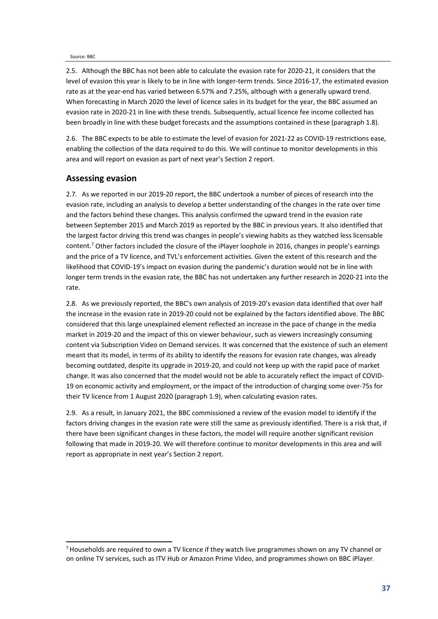#### Source: BBC

2.5. Although the BBC has not been able to calculate the evasion rate for 2020-21, it considers that the level of evasion this year is likely to be in line with longer-term trends. Since 2016-17, the estimated evasion rate as at the year-end has varied between 6.57% and 7.25%, although with a generally upward trend. When forecasting in March 2020 the level of licence sales in its budget for the year, the BBC assumed an evasion rate in 2020-21 in line with these trends. Subsequently, actual licence fee income collected has been broadly in line with these budget forecasts and the assumptions contained in these (paragraph [1.8\)](#page-34-2).

2.6. The BBC expects to be able to estimate the level of evasion for 2021-22 as COVID-19 restrictions ease, enabling the collection of the data required to do this. We will continue to monitor developments in this area and will report on evasion as part of next year's Section 2 report.

#### **Assessing evasion**

2.7. As we reported in our 2019-20 report, the BBC undertook a number of pieces of research into the evasion rate, including an analysis to develop a better understanding of the changes in the rate over time and the factors behind these changes. This analysis confirmed the upward trend in the evasion rate between September 2015 and March 2019 as reported by the BBC in previous years. It also identified that the largest factor driving this trend was changes in people's viewing habits as they watched less licensable content[.7](#page-39-0) Other factors included the closure of the iPlayer loophole in 2016, changes in people's earnings and the price of a TV licence, and TVL's enforcement activities. Given the extent of this research and the likelihood that COVID-19's impact on evasion during the pandemic's duration would not be in line with longer term trends in the evasion rate, the BBC has not undertaken any further research in 2020-21 into the rate.

2.8. As we previously reported, the BBC's own analysis of 2019-20's evasion data identified that over half the increase in the evasion rate in 2019-20 could not be explained by the factors identified above. The BBC considered that this large unexplained element reflected an increase in the pace of change in the media market in 2019-20 and the impact of this on viewer behaviour, such as viewers increasingly consuming content via Subscription Video on Demand services. It was concerned that the existence of such an element meant that its model, in terms of its ability to identify the reasons for evasion rate changes, was already becoming outdated, despite its upgrade in 2019-20, and could not keep up with the rapid pace of market change. It was also concerned that the model would not be able to accurately reflect the impact of COVID-19 on economic activity and employment, or the impact of the introduction of charging some over-75s for their TV licence from 1 August 2020 (paragrap[h 1.9\),](#page-34-3) when calculating evasion rates.

2.9. As a result, in January 2021, the BBC commissioned a review of the evasion model to identify if the factors driving changes in the evasion rate were still the same as previously identified. There is a risk that, if there have been significant changes in these factors, the model will require another significant revision following that made in 2019-20. We will therefore continue to monitor developments in this area and will report as appropriate in next year's Section 2 report.

<span id="page-39-0"></span><sup>7</sup> Households are required to own a TV licence if they watch live programmes shown on any TV channel or on online TV services, such as ITV Hub or Amazon Prime Video, and programmes shown on BBC iPlayer.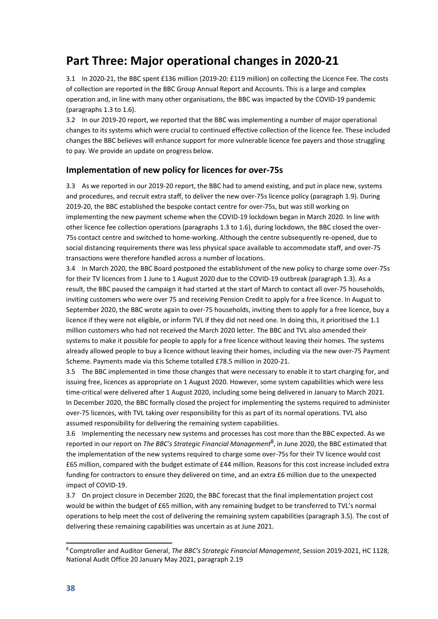### **Part Three: Major operational changes in 2020-21**

3.1 In 2020-21, the BBC spent £136 million (2019-20: £119 million) on collecting the Licence Fee. The costs of collection are reported in the BBC Group Annual Report and Accounts. This is a large and complex operation and, in line with many other organisations, the BBC was impacted by the COVID-19 pandemic (paragraphs [1.3 t](#page-33-0)o [1.6\)](#page-33-1).

3.2 In our 2019-20 report, we reported that the BBC was implementing a number of major operational changes to its systems which were crucial to continued effective collection of the licence fee. These included changes the BBC believes will enhance support for more vulnerable licence fee payers and those struggling to pay. We provide an update on progress below.

#### **Implementation of new policy for licences for over-75s**

3.3 As we reported in our 2019-20 report, the BBC had to amend existing, and put in place new, systems and procedures, and recruit extra staff, to deliver the new over-75s licence policy (paragraph [1.9\)](#page-34-3). During 2019-20, the BBC established the bespoke contact centre for over-75s, but was still working on implementing the new payment scheme when the COVID-19 lockdown began in March 2020. In line with other licence fee collection operations (paragraphs [1.3 t](#page-33-0)o [1.6\)](#page-33-1), during lockdown, the BBC closed the over-75s contact centre and switched to home-working. Although the centre subsequently re-opened, due to social distancing requirements there was less physical space available to accommodate staff, and over-75 transactions were therefore handled across a number of locations.

3.4 In March 2020, the BBC Board postponed the establishment of the new policy to charge some over-75s for their TV licences from 1 June to 1 August 2020 due to the COVID-19 outbreak (paragraph [1.3\)](#page-33-0). As a result, the BBC paused the campaign it had started at the start of March to contact all over-75 households, inviting customers who were over 75 and receiving Pension Credit to apply for a free licence. In August to September 2020, the BBC wrote again to over-75 households, inviting them to apply for a free licence, buy a licence if they were not eligible, or inform TVL if they did not need one. In doing this, it prioritised the 1.1 million customers who had not received the March 2020 letter. The BBC and TVL also amended their systems to make it possible for people to apply for a free licence without leaving their homes. The systems already allowed people to buy a licence without leaving their homes, including via the new over-75 Payment Scheme. Payments made via this Scheme totalled £78.5 million in 2020-21.

<span id="page-40-1"></span>3.5 The BBC implemented in time those changes that were necessary to enable it to start charging for, and issuing free, licences as appropriate on 1 August 2020. However, some system capabilities which were less time-critical were delivered after 1 August 2020, including some being delivered in January to March 2021. In December 2020, the BBC formally closed the project for implementing the systems required to administer over-75 licences, with TVL taking over responsibility for this as part of its normal operations. TVL also assumed responsibility for delivering the remaining system capabilities.

3.6 Implementing the necessary new systems and processes has cost more than the BBC expected. As we reported in our report on *The BBC's Strategic Financial Management*[8](#page-40-0) , in June 2020, the BBC estimated that the implementation of the new systems required to charge some over-75s for their TV licence would cost £65 million, compared with the budget estimate of £44 million. Reasons for this cost increase included extra funding for contractors to ensure they delivered on time, and an extra £6 million due to the unexpected impact of COVID-19.

3.7 On project closure in December 2020, the BBC forecast that the final implementation project cost would be within the budget of £65 million, with any remaining budget to be transferred to TVL's normal operations to help meet the cost of delivering the remaining system capabilities (paragrap[h 3.5\)](#page-40-1). The cost of delivering these remaining capabilities was uncertain as at June 2021.

<span id="page-40-0"></span><sup>8</sup> Comptroller and Auditor General, *The BBC's Strategic Financial Management*, Session 2019-2021, HC 1128, National Audit Office 20 January May 2021, paragraph 2.19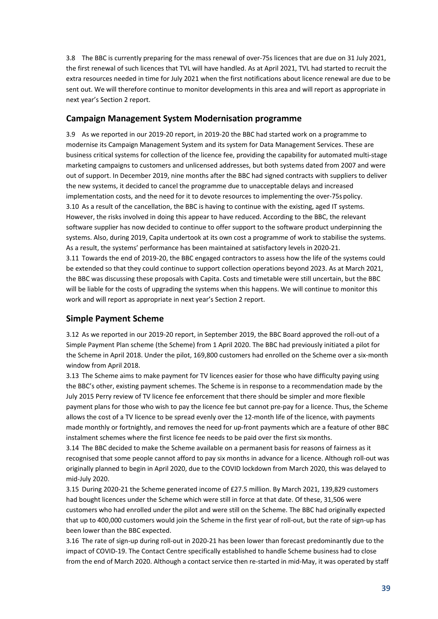3.8 The BBC is currently preparing for the mass renewal of over-75s licences that are due on 31 July 2021, the first renewal of such licences that TVL will have handled. As at April 2021, TVL had started to recruit the extra resources needed in time for July 2021 when the first notifications about licence renewal are due to be sent out. We will therefore continue to monitor developments in this area and will report as appropriate in next year's Section 2 report.

#### **Campaign Management System Modernisation programme**

3.9 As we reported in our 2019-20 report, in 2019-20 the BBC had started work on a programme to modernise its Campaign Management System and its system for Data Management Services. These are business critical systems for collection of the licence fee, providing the capability for automated multi-stage marketing campaigns to customers and unlicensed addresses, but both systems dated from 2007 and were out of support. In December 2019, nine months after the BBC had signed contracts with suppliers to deliver the new systems, it decided to cancel the programme due to unacceptable delays and increased implementation costs, and the need for it to devote resources to implementing the over-75spolicy. 3.10 As a result of the cancellation, the BBC is having to continue with the existing, aged IT systems. However, the risks involved in doing this appear to have reduced. According to the BBC, the relevant software supplier has now decided to continue to offer support to the software product underpinning the systems. Also, during 2019, Capita undertook at its own cost a programme of work to stabilise the systems. As a result, the systems' performance has been maintained at satisfactory levels in 2020-21. 3.11 Towards the end of 2019-20, the BBC engaged contractors to assess how the life of the systems could be extended so that they could continue to support collection operations beyond 2023. As at March 2021, the BBC was discussing these proposals with Capita. Costs and timetable were still uncertain, but the BBC will be liable for the costs of upgrading the systems when this happens. We will continue to monitor this work and will report as appropriate in next year's Section 2 report.

#### **Simple Payment Scheme**

3.12 As we reported in our 2019-20 report, in September 2019, the BBC Board approved the roll-out of a Simple Payment Plan scheme (the Scheme) from 1 April 2020. The BBC had previously initiated a pilot for the Scheme in April 2018. Under the pilot, 169,800 customers had enrolled on the Scheme over a six-month window from April 2018.

3.13 The Scheme aims to make payment for TV licences easier for those who have difficulty paying using the BBC's other, existing payment schemes. The Scheme is in response to a recommendation made by the July 2015 Perry review of TV licence fee enforcement that there should be simpler and more flexible payment plans for those who wish to pay the licence fee but cannot pre-pay for a licence. Thus, the Scheme allows the cost of a TV licence to be spread evenly over the 12-month life of the licence, with payments made monthly or fortnightly, and removes the need for up-front payments which are a feature of other BBC instalment schemes where the first licence fee needs to be paid over the first six months.

3.14 The BBC decided to make the Scheme available on a permanent basis for reasons of fairness as it recognised that some people cannot afford to pay six months in advance for a licence. Although roll-out was originally planned to begin in April 2020, due to the COVID lockdown from March 2020, this was delayed to mid-July 2020.

3.15 During 2020-21 the Scheme generated income of £27.5 million. By March 2021, 139,829 customers had bought licences under the Scheme which were still in force at that date. Of these, 31,506 were customers who had enrolled under the pilot and were still on the Scheme. The BBC had originally expected that up to 400,000 customers would join the Scheme in the first year of roll-out, but the rate of sign-up has been lower than the BBC expected.

3.16 The rate of sign-up during roll-out in 2020-21 has been lower than forecast predominantly due to the impact of COVID-19. The Contact Centre specifically established to handle Scheme business had to close from the end of March 2020. Although a contact service then re-started in mid-May, it was operated by staff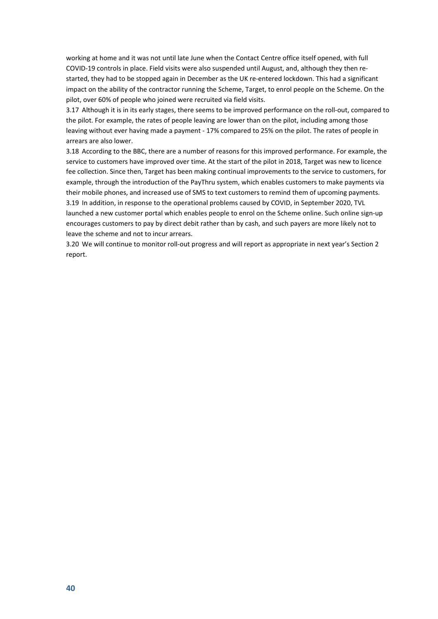working at home and it was not until late June when the Contact Centre office itself opened, with full COVID-19 controls in place. Field visits were also suspended until August, and, although they then restarted, they had to be stopped again in December as the UK re-entered lockdown. This had a significant impact on the ability of the contractor running the Scheme, Target, to enrol people on the Scheme. On the pilot, over 60% of people who joined were recruited via field visits.

3.17 Although it is in its early stages, there seems to be improved performance on the roll-out, compared to the pilot. For example, the rates of people leaving are lower than on the pilot, including among those leaving without ever having made a payment - 17% compared to 25% on the pilot. The rates of people in arrears are also lower.

3.18 According to the BBC, there are a number of reasons for this improved performance. For example, the service to customers have improved over time. At the start of the pilot in 2018, Target was new to licence fee collection. Since then, Target has been making continual improvements to the service to customers, for example, through the introduction of the PayThru system, which enables customers to make payments via their mobile phones, and increased use of SMS to text customers to remind them of upcoming payments. 3.19 In addition, in response to the operational problems caused by COVID, in September 2020, TVL launched a new customer portal which enables people to enrol on the Scheme online. Such online sign-up encourages customers to pay by direct debit rather than by cash, and such payers are more likely not to leave the scheme and not to incur arrears.

3.20 We will continue to monitor roll-out progress and will report as appropriate in next year's Section 2 report.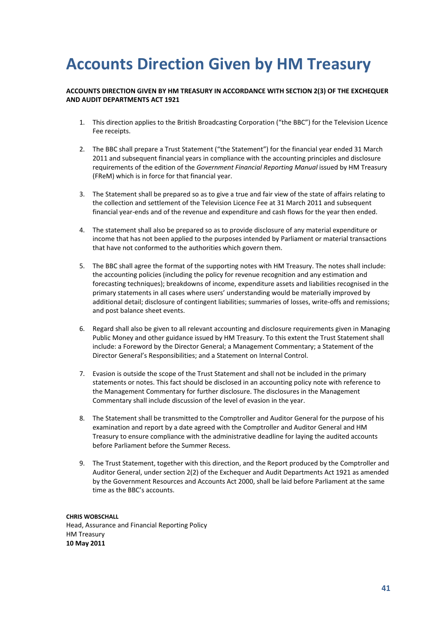# <span id="page-43-0"></span>**Accounts Direction Given by HM Treasury**

#### **ACCOUNTS DIRECTION GIVEN BY HM TREASURY IN ACCORDANCE WITH SECTION 2(3) OF THE EXCHEQUER AND AUDIT DEPARTMENTS ACT 1921**

- 1. This direction applies to the British Broadcasting Corporation ("the BBC") for the Television Licence Fee receipts.
- 2. The BBC shall prepare a Trust Statement ("the Statement") for the financial year ended 31 March 2011 and subsequent financial years in compliance with the accounting principles and disclosure requirements of the edition of the *Government Financial Reporting Manual* issued by HM Treasury (FReM) which is in force for that financial year.
- 3. The Statement shall be prepared so as to give a true and fair view of the state of affairs relating to the collection and settlement of the Television Licence Fee at 31 March 2011 and subsequent financial year-ends and of the revenue and expenditure and cash flows for the year then ended.
- 4. The statement shall also be prepared so as to provide disclosure of any material expenditure or income that has not been applied to the purposes intended by Parliament or material transactions that have not conformed to the authorities which govern them.
- 5. The BBC shall agree the format of the supporting notes with HM Treasury. The notes shall include: the accounting policies (including the policy for revenue recognition and any estimation and forecasting techniques); breakdowns of income, expenditure assets and liabilities recognised in the primary statements in all cases where users' understanding would be materially improved by additional detail; disclosure of contingent liabilities; summaries of losses, write-offs and remissions; and post balance sheet events.
- 6. Regard shall also be given to all relevant accounting and disclosure requirements given in Managing Public Money and other guidance issued by HM Treasury. To this extent the Trust Statement shall include: a Foreword by the Director General; a Management Commentary; a Statement of the Director General's Responsibilities; and a Statement on Internal Control.
- 7. Evasion is outside the scope of the Trust Statement and shall not be included in the primary statements or notes. This fact should be disclosed in an accounting policy note with reference to the Management Commentary for further disclosure. The disclosures in the Management Commentary shall include discussion of the level of evasion in the year.
- 8. The Statement shall be transmitted to the Comptroller and Auditor General for the purpose of his examination and report by a date agreed with the Comptroller and Auditor General and HM Treasury to ensure compliance with the administrative deadline for laying the audited accounts before Parliament before the Summer Recess.
- 9. The Trust Statement, together with this direction, and the Report produced by the Comptroller and Auditor General, under section 2(2) of the Exchequer and Audit Departments Act 1921 as amended by the Government Resources and Accounts Act 2000, shall be laid before Parliament at the same time as the BBC's accounts.

**CHRIS WOBSCHALL** Head, Assurance and Financial Reporting Policy HM Treasury **10 May 2011**